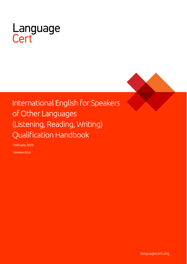

# International English for Speakers of Other Languages (Listening, Reading, Writing) **Qualification Handbook**

February 2020

Version 03.6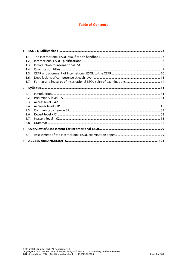# **Table of Contents**

| $\mathbf{1}$            |  |
|-------------------------|--|
| 1.1.                    |  |
| 1.2.                    |  |
| 1.3.                    |  |
| 1.4.                    |  |
| 1.5.                    |  |
| 1.6.                    |  |
| 1.7.                    |  |
| $2^{\circ}$             |  |
| 2.1.                    |  |
| 2.2.                    |  |
| 2.3.                    |  |
| 2.4.                    |  |
| 2.5.                    |  |
| 2.6.                    |  |
| 2.7.                    |  |
| 2.8.                    |  |
| $\mathbf{R}$            |  |
| 3.1.                    |  |
| $\overline{\mathbf{4}}$ |  |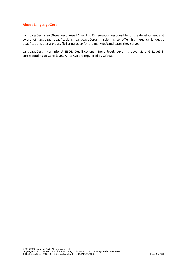## **About LanguageCert**

LanguageCert is an Ofqual recognised Awarding Organisation responsible for the development and award of language qualifications. LanguageCert's mission is to offer high quality language qualifications that are truly fit-for purpose for the markets/candidates they serve.

LanguageCert International ESOL Qualifications (Entry level, Level 1, Level 2, and Level 3, corresponding to CEFR levels A1 to C2) are regulated by Ofqual.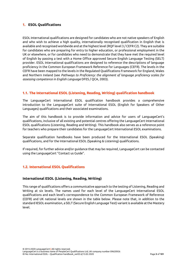# <span id="page-3-0"></span>**1. ESOL Qualifications**

ESOL International qualifications are designed for candidates who are not native speakers of English and who wish to achieve a high quality, internationally recognised qualification in English that is available and recognised worldwide and at the highest level (RQF level 3 / CEFR C2). They are suitable for candidates who are preparing for entry to higher education, or professional employment in the UK or elsewhere, or for candidates who need to demonstrate that they have met the required level of English by passing a test with a Home Office approved Secure English Language Testing (SELT) provider. ESOL International qualifications are designed to reference the descriptions of language proficiency in the Common European Framework Reference for Languages (CEFR). The levels in the CEFR have been mapped to the levels in the Regulated Qualifications Framework for England, Wales and Northern Ireland (see *Pathways to Proficiency: the alignment of language proficiency scales for assessing competence in English Language* DFES / QCA, 2003).

# <span id="page-3-1"></span>**1.1. The International ESOL (Listening, Reading, Writing) qualification handbook**

The LanguageCert International ESOL qualification handbook provides a comprehensive introduction to the LanguageCert suite of International ESOL (English for Speakers of Other Languages) qualifications and their associated examinations.

The aim of this handbook is to provide information and advice for users of LanguageCert's qualifications, inclusive of all existing and potential centres offering the LanguageCert International ESOL qualifications (Listening, Reading and Writing). This handbook also serves as a reference point for teachers who prepare their candidates for the LanguageCert International ESOL examinations.

Separate qualification handbooks have been produced for the International ESOL (Speaking) qualifications, and for the International ESOL (Speaking & Listening) qualifications.

If required, for further advice and/or guidance that may be required, LanguageCert can be contacted using the LanguageCert "Contact us Guide".

# <span id="page-3-2"></span>**1.2. International ESOL Qualifications**

## **International ESOL (Listening, Reading, Writing)**

This range of qualifications offers a communicative approach to the testing of Listening, Reading and Writing at six levels. The names used for each level of the LanguageCert International ESOL qualifications and each level's correspondence to the Common European Framework of Reference (CEFR) and UK national levels are shown in the table below. Please note that, in addition to the standard IESOL examination, a SELT (Secure English Language Test) variant is available at the Mastery level.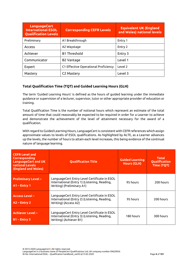| <b>LanguageCert</b><br><b>International ESOL</b><br><b>Qualification Levels</b> | <b>Corresponding CEFR Levels</b>     | <b>Equivalent UK (England</b><br>and Wales) national levels |
|---------------------------------------------------------------------------------|--------------------------------------|-------------------------------------------------------------|
| Preliminary                                                                     | A1 Breakthrough                      | Entry 1                                                     |
| <b>Access</b>                                                                   | A2 Waystage                          | Entry 2                                                     |
| Achiever                                                                        | <b>B1 Threshold</b>                  | Entry 3                                                     |
| Communicator                                                                    | <b>B2 Vantage</b>                    | Level 1                                                     |
| Expert                                                                          | C1 Effective Operational Proficiency | Level 2                                                     |
| Mastery                                                                         | C <sub>2</sub> Mastery               | Level 3                                                     |

# **Total Qualification Time (TQT) and Guided Learning Hours (GLH)**

The term 'Guided Learning Hours' is defined as the hours of guided learning under the immediate guidance or supervision of a lecturer, supervisor, tutor or other appropriate provider of education or training.

Total Qualification Time is the number of notional hours which represent an estimate of the total amount of time that could reasonably be expected to be required in order for a Learner to achieve and demonstrate the achievement of the level of attainment necessary for the award of a qualification.

With regard to Guided Learning Hours, LanguageCert is consistent with CEFR references which assign approximate values to levels of ESOL qualifications. As highlighted by ALTE, as a Learner advances up the levels, the number of hours to attain each level increases, this being evidence of the continual nature of language learning.

| <b>CEFR Level and</b><br><b>Corresponding</b><br>LanguageCert and UK<br>national Levels<br>(England and Wales) | <b>Qualification Title</b>                                                                                                | <b>Guided Learning</b><br><b>Hours (GLH)</b> | <b>Total</b><br>Qualification<br>Time (TQT) |
|----------------------------------------------------------------------------------------------------------------|---------------------------------------------------------------------------------------------------------------------------|----------------------------------------------|---------------------------------------------|
| <b>Preliminary Level -</b><br>$A1$ – Entry 1                                                                   | LanguageCert Entry Level Certificate in ESOL<br>International (Entry 1) (Listening, Reading,<br>Writing) (Preliminary A1) | 95 hours                                     | 200 hours                                   |
| <b>Access Level -</b><br>$AC - Entry2$                                                                         | LanguageCert Entry Level Certificate in ESOL<br>International (Entry 2) (Listening, Reading,<br>Writing) (Access A2)      | 95 hours                                     | 200 hours                                   |
| <b>Achiever Level -</b><br>$B1 -$ Entry 3                                                                      | LanguageCert Entry Level Certificate in ESOL<br>International (Entry 3) (Listening, Reading,<br>Writing) (Achiever B1)    | 180 hours                                    | 300 hours                                   |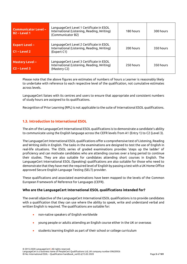| <b>Communicator Level -</b><br>$B2 - Level 1$ | LanguageCert Level 1 Certificate in ESOL<br>International (Listening, Reading, Writing)<br>(Communicator B2) | 180 hours | 300 hours |
|-----------------------------------------------|--------------------------------------------------------------------------------------------------------------|-----------|-----------|
| <b>Expert Level -</b><br>$C1 - Level 2$       | LanguageCert Level 2 Certificate in ESOL<br>International (Listening, Reading, Writing)<br>(Expert C1)       | 200 hours | 350 hours |
| <b>Mastery Level -</b><br>$C2 - Level 3$      | LanguageCert Level 3 Certificate in ESOL<br>International (Listening, Reading, Writing)<br>(Mastery C2)      | 250 hours | 350 hours |

Please note that the above figures are estimates of numbers of hours a Learner is reasonably likely to undertake with reference to each respective level of the qualification, not cumulative estimates across levels.

LanguageCert liaises with its centres and users to ensure that appropriate and consistent numbers of study hours are assigned to its qualifications.

Recognition of Prior Learning (RPL) is not applicable to the suite of International ESOL qualifications.

# <span id="page-5-0"></span>**1.3. Introduction to International ESOL**

The aim of the LanguageCert International ESOL qualifications is to demonstrate a candidate's ability to communicate using the English language across the CEFR levels from A1 (Entry 1) to C2 (Level 3).

The LanguageCert International ESOL qualifications offer a comprehensive test of Listening, Reading and Writing skills in English. The tasks in the examinations are designed to test the use of English in real-life situations. The ESOL series of graded examinations provides 'steps up the ladder' of proficiency and can motivate candidates who are attending courses over a long period to continue their studies. They are also suitable for candidates attending short courses in English. The LanguageCert International ESOL (Speaking) qualifications are also suitable for those who need to demonstrate that they have met the required level of English by passing a test with a UK Home Office approved Secure English Language Testing (SELT) provider.

These qualifications and associated examinations have been mapped to the levels of the Common European Framework of Reference for Languages (CEFR).

## **Who are the LanguageCert International ESOL qualifications intended for?**

The overall objective of the LanguageCert International ESOL qualifications is to provide candidates with a qualification that they can use where the ability to speak, write and understand verbal and written English is required. The qualifications are suitable for:

- non-native speakers of English worldwide
- young people or adults attending an English course either in the UK or overseas
- students learning English as part of their school or college curriculum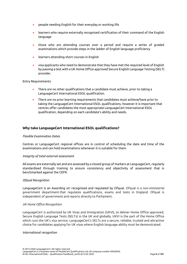- people needing English for their everyday or working life
- learners who require externally recognised certification of their command of the English language
- those who are attending courses over a period and require a series of graded examinations which provide steps in the ladder of English language proficiency
- learners attending short courses in English
- visa applicants who need to demonstrate that they have met the required level of English by passing a test with a UK Home Office approved Secure English Language Testing (SELT) provider.

#### Entry Requirements

- There are no other qualifications that a candidate must achieve, prior to taking a LanguageCert International ESOL qualification.
- There are no prior learning requirements that candidates must achieve/have prior to taking the LanguageCert International ESOL qualifications, however it is important that centres offer candidates the most appropriate LanguageCert International ESOL qualification, depending on each candidate's ability and needs.

## **Why take LanguageCert International ESOL qualifications?**

#### *Flexible Examination Dates*

Centres or LanguageCert regional offices are in control of scheduling the date and time of the examinations and can hold examinations whenever it is suitable for them.

#### *Integrity of total external assessment*

All exams are externally set and are assessed by a closed group of markers at LanguageCert, regularly standardised through training to ensure consistency and objectivity of assessment that is benchmarked against the CEFR.

#### *Ofqual Recognition*

LanguageCert is an Awarding str recognised and regulated by Ofqual. Ofqual is a non-ministerial government department that regulates qualifications, exams and tests in England. Ofqual is independent of government and reports directly to Parliament.

#### *UK Home Office Recognition*

LanguageCert is authorized by UK Visas and Immigration (UKVI), to deliver Home Office approved, Secure English Language Tests (SELTs) in the UK and globally. UKVI is the part of the Home Office which runs the UK's visa service. LanguageCert's SELTs are a secure, reliable, trusted and attractive choice for candidates applying for UK visas where English language ability must be demonstrated.

#### *International recognition*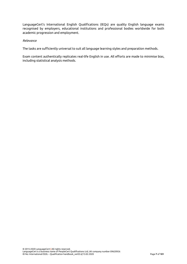LanguageCert's International English Qualifications (IEQs) are quality English language exams recognised by employers, educational institutions and professional bodies worldwide for both academic progression and employment.

## *Relevance*

The tasks are sufficiently universal to suit all language learning styles and preparation methods.

Exam content authentically replicates real-life English in use. All efforts are made to minimise bias, including statistical analysis methods.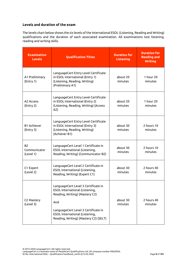# **Levels and duration of the exam**

The levels chart below shows the six levels of the International ESOL (Listening, Reading and Writing) qualifications and the duration of each associated examination. All examinations test listening, reading and writing skills.

| <b>Examination</b><br><b>Levels</b>    | <b>Qualification Titles</b>                                                                                                                                                                                                             | <b>Duration for</b><br><b>Listening</b> | <b>Duration for</b><br><b>Reading and</b><br><b>Writing</b> |
|----------------------------------------|-----------------------------------------------------------------------------------------------------------------------------------------------------------------------------------------------------------------------------------------|-----------------------------------------|-------------------------------------------------------------|
| A1 Preliminary<br>(Entry 1)            | LanguageCert Entry Level Certificate<br>in ESOL International (Entry 1)<br>(Listening, Reading, Writing)<br>(Preliminary A1)                                                                                                            | about 20<br>minutes                     | 1 hour 20<br>minutes                                        |
| A2 Access<br>(Entry 2)                 | LanguageCert Entry Level Certificate<br>in ESOL International (Entry 2)<br>(Listening, Reading, Writing) (Access<br>A2)                                                                                                                 | about 20<br>minutes                     | 1 hour $20$<br>minutes                                      |
| <b>B1 Achiever</b><br>(Entry 3)        | LanguageCert Entry Level Certificate<br>in ESOL International (Entry 3)<br>(Listening, Reading, Writing)<br>(Achiever B1)                                                                                                               | about 30<br>minutes                     | 2 hours 10<br>minutes                                       |
| <b>B2</b><br>Communicator<br>(Level 1) | LanguageCert Level 1 Certificate in<br>ESOL International (Listening,<br>Reading, Writing) (Communicator B2)                                                                                                                            | about 30<br>minutes                     | 2 hours 10<br>minutes                                       |
| C1 Expert<br>(Level 2)                 | LanguageCert Level 2 Certificate in<br><b>ESOL International (Listening,</b><br>Reading, Writing) (Expert C1)                                                                                                                           | about 30<br>minutes                     | 2 hours 40<br>minutes                                       |
| C2 Mastery<br>(Level 3)                | LanguageCert Level 3 Certificate in<br><b>ESOL International (Listening,</b><br>Reading, Writing) (Mastery C2)<br>And<br>LanguageCert Level 3 Certificate in<br>ESOL International (Listening,<br>Reading, Writing) (Mastery C2) (SELT) | about 30<br>minutes                     | 2 hours 40<br>minutes                                       |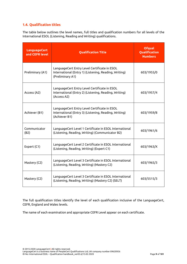# <span id="page-9-0"></span>**1.4. Qualification titles**

The table below outlines the level names, full titles and qualification numbers for all levels of the International ESOL (Listening, Reading and Writing) qualifications.

| <b>LanguageCert</b><br>and CEFR level | <b>Qualification Title</b>                                                                                                | <b>Ofqual</b><br>Qualification<br><b>Numbers</b> |
|---------------------------------------|---------------------------------------------------------------------------------------------------------------------------|--------------------------------------------------|
| Preliminary (A1)                      | LanguageCert Entry Level Certificate in ESOL<br>International (Entry 1) (Listening, Reading, Writing)<br>(Preliminary A1) | 603/1955/0                                       |
| Access (A2)                           | LanguageCert Entry Level Certificate in ESOL<br>International (Entry 2) (Listening, Reading, Writing)<br>(Access A2)      | 603/1957/4                                       |
| Achiever (B1)                         | LanguageCert Entry Level Certificate in ESOL<br>International (Entry 3) (Listening, Reading, Writing)<br>(Achiever B1)    | 603/1959/8                                       |
| Communicator<br>(B2)                  | LanguageCert Level 1 Certificate in ESOL International<br>(Listening, Reading, Writing) (Communicator B2)                 | 603/1961/6                                       |
| Expert (C1)                           | LanguageCert Level 2 Certificate in ESOL International<br>(Listening, Reading, Writing) (Expert C1)                       | 603/1963/X                                       |
| Mastery (C2)                          | LanguageCert Level 3 Certificate in ESOL International<br>(Listening, Reading, Writing) (Mastery C2)                      | 603/1965/3                                       |
| Mastery (C2)                          | LanguageCert Level 3 Certificate in ESOL International<br>(Listening, Reading, Writing) (Mastery C2) (SELT)               | 603/5515/3                                       |

The full qualification titles identify the level of each qualification inclusive of the LanguageCert, CEFR, England and Wales levels.

The name of each examination and appropriate CEFR Level appear on each certificate.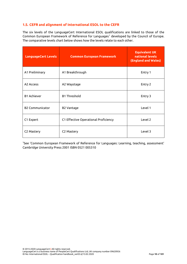# <span id="page-10-0"></span>**1.5. CEFR and alignment of International ESOL to the CEFR**

The six levels of the LanguageCert International ESOL qualifications are linked to those of the Common European Framework of Reference for Languages<sup>1</sup> developed by the Council of Europe. The comparative levels chart below shows how the levels relate to each other.

| <b>LanguageCert Levels</b> | <b>Common European Framework</b>     | <b>Equivalent UK</b><br>national levels<br>(England and Wales) |
|----------------------------|--------------------------------------|----------------------------------------------------------------|
| A1 Preliminary             | A1 Breakthrough                      | Entry 1                                                        |
| A <sub>2</sub> Access      | A2 Waystage                          | Entry 2                                                        |
| <b>B1 Achiever</b>         | <b>B1 Threshold</b>                  | Entry 3                                                        |
| <b>B2 Communicator</b>     | <b>B2 Vantage</b>                    | Level 1                                                        |
| C1 Expert                  | C1 Effective Operational Proficiency | Level 2                                                        |
| C2 Mastery                 | C2 Mastery                           | Level 3                                                        |

<sup>1</sup>See 'Common European Framework of Reference for Languages: Learning, teaching, assessment' Cambridge University Press 2001 ISBN 0521 005310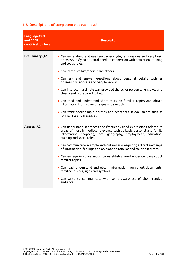# <span id="page-11-0"></span>**1.6. Descriptions of competence at each level**

| <b>LanguageCert</b><br>and CEFR<br>qualification level | <b>Descriptor</b>                                                                                                                                                                                                                                                                                                                                                                                                                                                                                                                                                                                                                                                                             |
|--------------------------------------------------------|-----------------------------------------------------------------------------------------------------------------------------------------------------------------------------------------------------------------------------------------------------------------------------------------------------------------------------------------------------------------------------------------------------------------------------------------------------------------------------------------------------------------------------------------------------------------------------------------------------------------------------------------------------------------------------------------------|
| <b>Preliminary (A1)</b>                                | • Can understand and use familiar everyday expressions and very basic<br>phrases satisfying practical needs in connection with education, training<br>and social roles.<br>• Can introduce him/herself and others.<br>. Can ask and answer questions about personal details such as<br>possessions, address and people known.<br>• Can interact in a simple way provided the other person talks slowly and<br>clearly and is prepared to help.<br>. Can read and understand short texts on familiar topics and obtain<br>information from common signs and symbols.<br>• Can write short simple phrases and sentences in documents such as<br>forms, lists and messages.                      |
| Access (A2)                                            | • Can understand sentences and frequently-used expressions related to<br>areas of most immediate relevance such as basic personal and family<br>information, shopping, local geography, employment, education,<br>training and social roles.<br>• Can communicate in simple and routine tasks requiring a direct exchange<br>of information, feelings and opinions on familiar and routine matters.<br>• Can engage in conversation to establish shared understanding about<br>familiar topics.<br>• Can read, understand and obtain information from short documents,<br>familiar sources, signs and symbols.<br>. Can write to communicate with some awareness of the intended<br>audience. |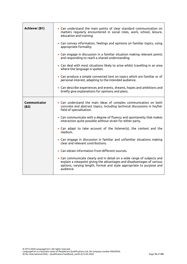| <b>Achiever (B1)</b> | • Can understand the main points of clear standard communication on<br>matters regularly encountered in social roles, work, school, leisure,<br>education and training.<br>• Can convey information, feelings and opinions on familiar topics, using<br>appropriate formality.<br>• Can engage in discussion in a familiar situation making relevant points<br>and responding to reach a shared understanding.<br>• Can deal with most situations likely to arise whilst travelling in an area<br>where the language is spoken.<br>• Can produce a simple connected text on topics which are familiar or of<br>personal interest, adapting to the intended audience. |
|----------------------|----------------------------------------------------------------------------------------------------------------------------------------------------------------------------------------------------------------------------------------------------------------------------------------------------------------------------------------------------------------------------------------------------------------------------------------------------------------------------------------------------------------------------------------------------------------------------------------------------------------------------------------------------------------------|
|                      | • Can describe experiences and events, dreams, hopes and ambitions and<br>briefly give explanations for opinions and plans.                                                                                                                                                                                                                                                                                                                                                                                                                                                                                                                                          |
| Communicator<br>(B2) | • Can understand the main ideas of complex communication on both<br>concrete and abstract topics, including technical discussions in his/her<br>field of specialisation.                                                                                                                                                                                                                                                                                                                                                                                                                                                                                             |
|                      | • Can communicate with a degree of fluency and spontaneity that makes<br>interaction quite possible without strain for either party.                                                                                                                                                                                                                                                                                                                                                                                                                                                                                                                                 |
|                      | • Can adapt to take account of the listener(s), the context and the<br>medium.                                                                                                                                                                                                                                                                                                                                                                                                                                                                                                                                                                                       |
|                      | • Can engage in discussion in familiar and unfamiliar situations making<br>clear and relevant contributions.                                                                                                                                                                                                                                                                                                                                                                                                                                                                                                                                                         |
|                      | • Can obtain information from different sources.                                                                                                                                                                                                                                                                                                                                                                                                                                                                                                                                                                                                                     |
|                      | • Can communicate clearly and in detail on a wide range of subjects and<br>explain a viewpoint giving the advantages and disadvantages of various<br>options, varying length, format and style appropriate to purpose and<br>audience.                                                                                                                                                                                                                                                                                                                                                                                                                               |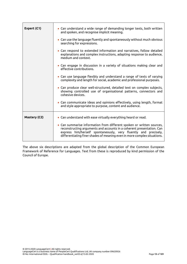| Expert (C1)  | • Can understand a wide range of demanding longer texts, both written<br>and spoken, and recognise implicit meaning.                                                                                                                                                                          |
|--------------|-----------------------------------------------------------------------------------------------------------------------------------------------------------------------------------------------------------------------------------------------------------------------------------------------|
|              | • Can use the language fluently and spontaneously without much obvious<br>searching for expressions.                                                                                                                                                                                          |
|              | • Can respond to extended information and narratives, follow detailed<br>explanations and complex instructions, adapting response to audience,<br>medium and context.                                                                                                                         |
|              | • Can engage in discussion in a variety of situations making clear and<br>effective contributions.                                                                                                                                                                                            |
|              | • Can use language flexibly and understand a range of texts of varying<br>complexity and length for social, academic and professional purposes.                                                                                                                                               |
|              | • Can produce clear well-structured, detailed text on complex subjects,<br>showing controlled use of organisational patterns, connectors and<br>cohesive devices.                                                                                                                             |
|              | • Can communicate ideas and opinions effectively, using length, format<br>and style appropriate to purpose, content and audience.                                                                                                                                                             |
| Mastery (C2) | • Can understand with ease virtually everything heard or read.                                                                                                                                                                                                                                |
|              | • Can summarise information from different spoken or written sources,<br>reconstructing arguments and accounts in a coherent presentation. Can<br>express him/herself spontaneously, very fluently and precisely,<br>differentiating finer shades of meaning even in more complex situations. |

The above six descriptions are adapted from the global description of the Common European Framework of Reference for Languages. Text from these is reproduced by kind permission of the Council of Europe.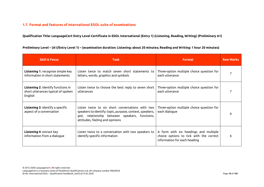# **1.7. Format and features of International ESOL suite of examinations**

**Qualification Title: LanguageCert Entry Level Certificate in ESOL International (Entry 1) (Listening, Reading, Writing) (Preliminary A1)**

<span id="page-14-0"></span>

| <b>Skill &amp; Focus</b>                                                            | <b>Task</b>                                                                                                                                                                                        | <b>Format</b>                                                                                                    | <b>Raw Marks</b> |
|-------------------------------------------------------------------------------------|----------------------------------------------------------------------------------------------------------------------------------------------------------------------------------------------------|------------------------------------------------------------------------------------------------------------------|------------------|
| <b>Listening 1: recognise simple key</b><br>information in short statements         | Listen twice to match seven short statements to<br>letters, words, graphics and symbols                                                                                                            | Three-option multiple choice question for<br>each utterance                                                      |                  |
| Listening 2: identify functions in<br>short utterances typical of spoken<br>English | Listen twice to choose the best reply to seven short<br>utterances                                                                                                                                 | Three-option multiple choice question for<br>each utterance                                                      |                  |
| <b>Listening 3: identify a specific</b><br>aspect of a conversation                 | Listen twice to six short conversations with two<br>speakers to identify: topic, purpose, context, speakers,<br>gist, relationship between speakers, functions,<br>attitudes, feeling and opinions | Three-option multiple choice question for<br>each dialogue                                                       |                  |
| <b>Listening 4: extract key</b><br>information from a dialoque                      | Listen twice to a conversation with two speakers to<br>identify specific information                                                                                                               | A form with six headings and multiple<br>choice options to tick with the correct<br>information for each heading | 6                |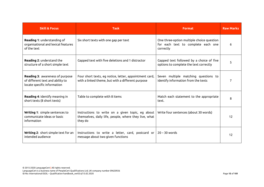| <b>Skill &amp; Focus</b>                                                                           | <b>Task</b>                                                                                                          | <b>Format</b>                                                                                | <b>Raw Marks</b> |
|----------------------------------------------------------------------------------------------------|----------------------------------------------------------------------------------------------------------------------|----------------------------------------------------------------------------------------------|------------------|
| <b>Reading 1: understanding of</b><br>organisational and lexical features<br>of the text           | Six short texts with one gap per text                                                                                | One three-option multiple choice question<br>for each text to complete each one<br>correctly | 6                |
| Reading 2: understand the<br>structure of a short simple text                                      | Gapped text with five deletions and 1 distractor                                                                     | Gapped text followed by a choice of five<br>options to complete the text correctly           | 5                |
| Reading 3: awareness of purpose<br>of different text and ability to<br>locate specific information | Four short texts, eg notice, letter, appointment card,<br>with a linked theme, but with a different purpose          | Seven multiple matching questions to<br>identify information from the texts                  |                  |
| Reading 4: identify meaning in<br>short texts (8 short texts)                                      | Table to complete with 8 items                                                                                       | Match each statement to the appropriate<br>text.                                             | 8                |
| Writing 1: simple sentences to<br>communicate ideas or basic<br>information                        | Instructions to write on a given topic, eg about<br>themselves, daily life, people, where they live, what<br>they do | Write four sentences (about 30 words)                                                        | 12               |
| Writing 2: short simple text for an<br>intended audience                                           | Instructions to write a letter, card, postcard or<br>message about two given functions                               | $20 - 30$ words                                                                              | 12               |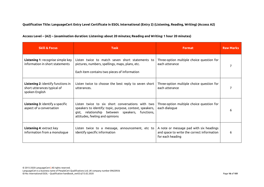# **Qualification Title: LanguageCert Entry Level Certificate in ESOL International (Entry 2) (Listening, Reading, Writing) (Access A2)**

| Access Level – (A2) – (examination duration: Listening: about 20 minutes; Reading and Writing: 1 hour 20 minutes) |
|-------------------------------------------------------------------------------------------------------------------|
|-------------------------------------------------------------------------------------------------------------------|

| <b>Skill &amp; Focus</b>                                                                   | <b>Task</b>                                                                                                                                                                                        | <b>Format</b>                                                                                             | <b>Raw Marks</b> |
|--------------------------------------------------------------------------------------------|----------------------------------------------------------------------------------------------------------------------------------------------------------------------------------------------------|-----------------------------------------------------------------------------------------------------------|------------------|
| <b>Listening 1: recognise simple key</b><br>information in short statements                | Listen twice to match seven short statements to<br>pictures, numbers, spellings, maps, plans, etc.<br>Each item contains two pieces of information                                                 | Three-option multiple choice question for<br>each utterance                                               |                  |
| <b>Listening 2: identify functions in</b><br>short utterances typical of<br>spoken English | Listen twice to choose the best reply to seven short<br>utterances.                                                                                                                                | Three-option multiple choice question for<br>each utterance                                               |                  |
| <b>Listening 3: identify a specific</b><br>aspect of a conversation                        | Listen twice to six short conversations with two<br>speakers to identify: topic, purpose, context, speakers,<br>gist, relationship between speakers, functions,<br>attitudes, feeling and opinions | Three-option multiple choice question for<br>each dialogue                                                |                  |
| <b>Listening 4: extract key</b><br>information from a monologue                            | Listen twice to a message, announcement, etc to<br>identify specific information                                                                                                                   | A note or message pad with six headings<br>and space to write the correct information<br>for each heading |                  |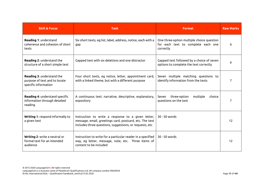| <b>Skill &amp; Focus</b>                                                                  | <b>Task</b>                                                                                                                                                              | <b>Format</b>                                                                                | <b>Raw Marks</b> |
|-------------------------------------------------------------------------------------------|--------------------------------------------------------------------------------------------------------------------------------------------------------------------------|----------------------------------------------------------------------------------------------|------------------|
| Reading 1: understand<br>coherence and cohesion of short<br>texts                         | Six short texts, eg list, label, address, notice, each with a<br>gap                                                                                                     | One three-option multiple choice question<br>for each text to complete each one<br>correctly | 6                |
| Reading 2: understand the<br>structure of a short simple text                             | Gapped text with six deletions and one distractor                                                                                                                        | Gapped text followed by a choice of seven<br>options to complete the text correctly          | 6                |
| <b>Reading 3: understand the</b><br>purpose of text and to locate<br>specific information | Four short texts, eg notice, letter, appointment card,<br>with a linked theme, but with a different purpose                                                              | Seven multiple matching questions to<br>identify information from the texts                  | 7                |
| <b>Reading 4: understand specific</b><br>information through detailed<br>reading          | A continuous text: narrative, descriptive, explanatory,<br>expository                                                                                                    | three-option<br>Seven<br>multiple<br>choice<br>questions on the text                         |                  |
| Writing 1: respond informally to<br>a given text                                          | Instruction to write a response to a given letter,<br>message, email, greetings card, postcard, etc. The text<br>includes three questions, suggestions, or requests, etc | 30 - 50 words                                                                                | 12               |
| Writing 2: write a neutral or<br>formal text for an intended<br>audience                  | Instruction to write for a particular reader in a specified<br>way, eg letter, message, note, etc. Three items of<br>content to be included                              | 30 - 50 words                                                                                | 12               |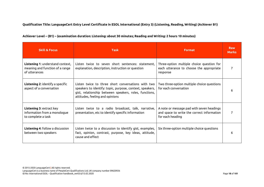# **Qualification Title: LanguageCert Entry Level Certificate in ESOL International (Entry 3) (Listening, Reading, Writing) (Achiever B1)**

| Achiever Level – (B1) – (examination duration: Listening: about 30 minutes; Reading and Writing: 2 hours 10 minutes) |  |
|----------------------------------------------------------------------------------------------------------------------|--|
|----------------------------------------------------------------------------------------------------------------------|--|

| <b>Skill &amp; Focus</b>                                                             | <b>Task</b>                                                                                                                                                                                                 | <b>Format</b>                                                                                               | <b>Raw</b><br><b>Marks</b> |
|--------------------------------------------------------------------------------------|-------------------------------------------------------------------------------------------------------------------------------------------------------------------------------------------------------------|-------------------------------------------------------------------------------------------------------------|----------------------------|
| Listening 1: understand context,<br>meaning and function of a range<br>of utterances | Listen twice to seven short sentences: statement.<br>explanation, description, instruction or question                                                                                                      | Three-option multiple choice question for<br>each utterance to choose the appropriate<br>response           |                            |
| <b>Listening 2:</b> identify a specific<br>aspect of a conversation                  | Listen twice to three short conversations with two<br>speakers to identify: topic, purpose, context, speakers,<br>gist, relationship between speakers, roles, functions,<br>attitudes, feeling and opinions | Two three-option multiple choice questions<br>for each conversation                                         | 6                          |
| Listening 3: extract key<br>information from a monologue<br>to complete a task       | Listen twice to a radio broadcast, talk, narrative,<br>presentation, etc to identify specific information                                                                                                   | A note or message pad with seven headings<br>and space to write the correct information<br>for each heading |                            |
| <b>Listening 4: follow a discussion</b><br>between two speakers                      | Listen twice to a discussion to identify gist, examples,<br>fact, opinion, contrast, purpose, key ideas, attitude,<br>cause and effect                                                                      | Six three-option multiple choice questions                                                                  | 6                          |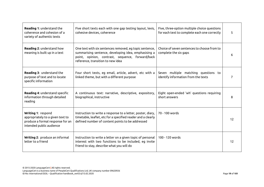| <b>Reading 1: understand the</b><br>coherence and cohesion of a<br>variety of authentic texts                          | Five short texts each with one gap testing layout, lexis,<br>cohesive devices, coherence                                                                                                                 | Five, three-option multiple choice questions<br>for each text to complete each one correctly | 5  |
|------------------------------------------------------------------------------------------------------------------------|----------------------------------------------------------------------------------------------------------------------------------------------------------------------------------------------------------|----------------------------------------------------------------------------------------------|----|
| <b>Reading 2: understand how</b><br>meaning is built up in a text                                                      | One text with six sentences removed, eg topic sentence,<br>summarising sentence, developing idea, emphasising a<br>point, opinion, contrast, sequence, forward/back<br>reference, transition to new idea | Choice of seven sentences to choose from to<br>complete the six gaps                         | 6  |
| Reading 3: understand the<br>purpose of text and to locate<br>specific information                                     | Four short texts, eg email, article, advert, etc with a<br>linked theme, but with a different purpose                                                                                                    | Seven multiple matching questions to<br>identify information from the texts                  |    |
| Reading 4: understand specific<br>information through detailed<br>reading                                              | A continuous text: narrative, descriptive, expository,<br>biographical, instructive                                                                                                                      | Eight open-ended 'wh' questions requiring<br>short answers                                   | 8  |
| Writing 1: respond<br>appropriately to a given text to<br>produce a formal response for an<br>intended public audience | Instruction to write a response to a letter, poster, diary,<br>timetable, leaflet, etc for a specified reader and a clearly<br>defined number of content points to be addressed                          | 70 - 100 words                                                                               | 12 |
| Writing 2: produce an informal<br>letter to a friend                                                                   | Instruction to write a letter on a given topic of personal<br>interest with two functions to be included, eg invite<br>friend to stay, describe what you will do                                         | 100 - 120 words                                                                              | 12 |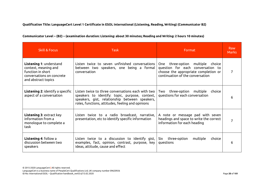# **Qualification Title: LanguageCert Level 1 Certificate in ESOL International (Listening, Reading, Writing) (Communicator B2)**

| Communicator Level – (B2) – (examination duration: Listening: about 30 minutes; Reading and Writing: 2 hours 10 minutes) |
|--------------------------------------------------------------------------------------------------------------------------|
|--------------------------------------------------------------------------------------------------------------------------|

| <b>Skill &amp; Focus</b>                                                                                                 | <b>Task</b>                                                                                                                                                                                                | Format                                                                                                                                                  | Raw<br><b>Marks</b> |
|--------------------------------------------------------------------------------------------------------------------------|------------------------------------------------------------------------------------------------------------------------------------------------------------------------------------------------------------|---------------------------------------------------------------------------------------------------------------------------------------------------------|---------------------|
| Listening 1: understand<br>context, meaning and<br>function in short<br>conversations on concrete<br>and abstract topics | Listen twice to seven unfinished conversations<br>between two speakers, one being a formal<br>conversation                                                                                                 | three-option<br>multiple choice<br>One<br>question for each conversation to<br>choose the appropriate completion or<br>continuation of the conversation | 7                   |
| <b>Listening 2:</b> identify a specific<br>aspect of a conversation                                                      | Listen twice to three conversations each with two<br>speakers to identify: topic, purpose, context,<br>speakers, gist, relationship between speakers,<br>roles, functions, attitudes, feeling and opinions | three-option multiple choice<br>Two<br>questions for each conversation                                                                                  | 6                   |
| <b>Listening 3: extract key</b><br>information from a<br>monologue to complete a<br>task                                 | Listen twice to a radio broadcast, narrative,<br>presentation, etc to identify specific information                                                                                                        | A note or message pad with seven<br>headings and space to write the correct<br>information for each heading                                             |                     |
| <b>Listening 4: follow a</b><br>discussion between two<br>speakers                                                       | Listen twice to a discussion to identify gist, $\vert$<br>examples, fact, opinion, contrast, purpose, key<br>ideas, attitude, cause and effect                                                             | three-option<br>multiple<br>Six<br>choice<br>questions                                                                                                  | 6                   |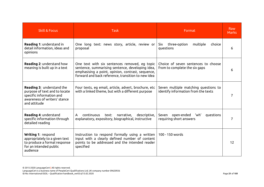| <b>Skill &amp; Focus</b>                                                                                                               | <b>Task</b>                                                                                                                                                                                                  | Format                                                                      | <b>Raw</b><br><b>Marks</b> |
|----------------------------------------------------------------------------------------------------------------------------------------|--------------------------------------------------------------------------------------------------------------------------------------------------------------------------------------------------------------|-----------------------------------------------------------------------------|----------------------------|
| Reading 1: understand in<br>detail information, ideas and<br>opinions                                                                  | One long text: news story, article, review or<br>proposal                                                                                                                                                    | three-option<br>multiple<br>Six<br>choice<br>questions                      | 6                          |
| <b>Reading 2: understand how</b><br>meaning is built up in a text                                                                      | One text with six sentences removed, eg topic<br>sentence, summarising sentence, developing idea,<br>emphasising a point, opinion, contrast, sequence,<br>forward and back reference, transition to new idea | Choice of seven sentences to choose<br>from to complete the six gaps        | 6                          |
| Reading 3: understand the<br>purpose of text and to locate<br>specific information and<br>awareness of writers' stance<br>and attitude | Four texts, eg email, article, advert, brochure, etc<br>with a linked theme, but with a different purpose                                                                                                    | Seven multiple matching questions to<br>identify information from the texts | 7                          |
| Reading 4: understand<br>specific information through<br>detailed reading                                                              | narrative, descriptive,<br>continuous<br>text:<br>A<br>explanatory, expository, biographical, instructive                                                                                                    | Seven open-ended 'wh'<br>questions<br>requiring short answers               | 7                          |
| Writing 1: respond<br>appropriately to a given text<br>to produce a formal response<br>for an intended public<br>audience              | Instruction to respond formally using a written<br>input with a clearly defined number of content<br>points to be addressed and the intended reader<br>specified                                             | 100 - 150 words                                                             | 12                         |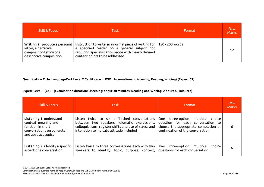| <b>Skill &amp; Focus</b>                                                                                         | <b>Task</b>                                                                                                                                                                                                           | Format | Raw<br><b>Marks</b> |
|------------------------------------------------------------------------------------------------------------------|-----------------------------------------------------------------------------------------------------------------------------------------------------------------------------------------------------------------------|--------|---------------------|
| <b>Writing 2:</b> produce a personal<br>letter, a narrative<br>composition/story or a<br>descriptive composition | Instruction to write an informal piece of writing for $\vert$ 150 - 200 words<br>a specified reader on a general subject not<br>requiring specialist knowledge with clearly defined<br>content points to be addressed |        |                     |

## **Qualification Title: LanguageCert Level 2 Certificate in ESOL International (Listening, Reading, Writing) (Expert C1)**

| <b>Skill &amp; Focus</b>                                                                                                        | Task                                                                                                                                                                                              | Format                                                                                                                                                     | Raw<br><b>Marks</b> |
|---------------------------------------------------------------------------------------------------------------------------------|---------------------------------------------------------------------------------------------------------------------------------------------------------------------------------------------------|------------------------------------------------------------------------------------------------------------------------------------------------------------|---------------------|
| <b>Listening 1: understand</b><br>context, meaning and<br>function in short<br>conversations on concrete<br>and abstract topics | Listen twice to six unfinished conversations<br>between two speakers. Idiomatic expressions,<br>colloquialisms, register shifts and use of stress and<br>intonation to indicate attitude included | three-option<br>choice<br>multiple<br>One<br>question for each conversation to<br>choose the appropriate completion or<br>continuation of the conversation | 6                   |
| <b>Listening 2:</b> identify a specific<br>aspect of a conversation                                                             | Listen twice to three conversations each with two  <br>speakers to identify: topic, purpose, context,                                                                                             | Two<br>three-option<br>multiple<br>choice<br>questions for each conversation                                                                               | 6                   |

## **Expert Level – (C1) – (examination duration: Listening: about 30 minutes; Reading and Writing: 2 hours 40 minutes)**

© 2015-2020 LanguageCert **|** All rights reserved. LanguageCert is a business name of PeopleCert Qualifications Ltd, UK company number 09620926 ID No: International ESOL – Qualification handbook\_ver03.6/13.02.2020 Page **22** of **101**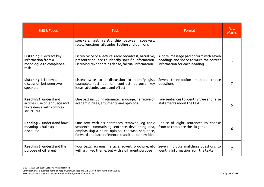| <b>Skill &amp; Focus</b>                                                                         | <b>Task</b>                                                                                                                                                                                                  | Format                                                                                                            | <b>Raw</b><br><b>Marks</b> |
|--------------------------------------------------------------------------------------------------|--------------------------------------------------------------------------------------------------------------------------------------------------------------------------------------------------------------|-------------------------------------------------------------------------------------------------------------------|----------------------------|
|                                                                                                  | speakers, gist, relationship between speakers,<br>roles, functions, attitudes, feeling and opinions                                                                                                          |                                                                                                                   |                            |
| <b>Listening 3: extract key</b><br>information from a<br>monologue to complete a<br>task         | Listen twice to a lecture, radio broadcast, narrative,<br>presentation, etc to identify specific information.<br>Listening text contains dense, factual information                                          | A note, message pad or form with seven<br>headings and space to write the correct<br>information for each heading | 7                          |
| <b>Listening 4: follow a</b><br>discussion between two<br>speakers                               | Listen twice to a discussion to identify gist,<br>examples, fact, opinion, contrast, purpose, key<br>ideas, attitude, cause and effect                                                                       | Seven three-option multiple choice<br>questions                                                                   | 7                          |
| Reading 1: understand<br>articles, use of language and<br>texts dense with complex<br>structures | One text including idiomatic language, narrative or<br>academic ideas, arguments and opinions                                                                                                                | Five sentences to identify true and false<br>statements about the text                                            | 5.                         |
| <b>Reading 2: understand how</b><br>meaning is built up in<br>discourse                          | One text with six sentences removed, eg topic<br>sentence, summarising sentence, developing idea,<br>emphasising a point, opinion, contrast, sequence,<br>forward and back reference, transition to new idea | Choice of eight sentences to choose<br>from to complete the six gaps                                              | 6                          |
| <b>Reading 3: understand the</b><br>purpose of different                                         | Four texts, eg email, article, advert, brochure, etc<br>with a linked theme, but with a different purpose                                                                                                    | Seven multiple matching questions to<br>identify information from the texts                                       | $\overline{7}$             |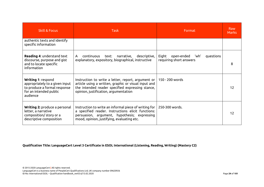| <b>Skill &amp; Focus</b>                                                                                                   | Task                                                                                                                                                                                                                             | Format                                                           | <b>Raw</b><br><b>Marks</b> |
|----------------------------------------------------------------------------------------------------------------------------|----------------------------------------------------------------------------------------------------------------------------------------------------------------------------------------------------------------------------------|------------------------------------------------------------------|----------------------------|
| authentic texts and identify<br>specific information                                                                       |                                                                                                                                                                                                                                  |                                                                  |                            |
| <b>Reading 4: understand text</b><br>discourse, purpose and gist<br>and to locate specific<br>information                  | continuous<br>narrative, descriptive,<br>text:<br>$\mathsf{A}$<br>explanatory, expository, biographical, instructive                                                                                                             | open-ended 'wh'<br>Eight<br>questions<br>requiring short answers | 8                          |
| Writing 1: respond<br>appropriately to a given input<br>to produce a formal response<br>for an intended public<br>audience | Instruction to write a letter, report, argument or $ $<br>article using a written, graphic or visual input and<br>the intended reader specified expressing stance,<br>opinion, justification, argumentation                      | 150 - 200 words                                                  | 12                         |
| <b>Writing 2:</b> produce a personal<br>letter, a narrative<br>composition/story or a<br>descriptive composition           | Instruction to write an informal piece of writing for $\vert$ 250-300 words.<br>a specified reader. Instructions elicit functions:<br>persuasion, argument, hypothesis; expressing<br>mood, opinion, justifying, evaluating etc. |                                                                  | 12                         |

**Qualification Title: LanguageCert Level 3 Certificate in ESOL International (Listening, Reading, Writing) (Mastery C2)**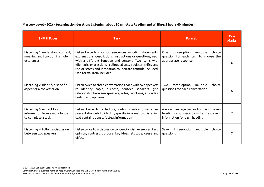| <b>Skill &amp; Focus</b>                                                         | <b>Task</b>                                                                                                                                                                                                                                                                                                                                | <b>Format</b>                                                                                                     | <b>Raw</b><br><b>Marks</b> |
|----------------------------------------------------------------------------------|--------------------------------------------------------------------------------------------------------------------------------------------------------------------------------------------------------------------------------------------------------------------------------------------------------------------------------------------|-------------------------------------------------------------------------------------------------------------------|----------------------------|
| Listening 1: understand context,<br>meaning and function in single<br>utterances | Listen twice to six short sentences including statements,<br>explanations, descriptions, instructions or questions, each<br>with a different function and context. Two items with<br>Idiomatic expressions, colloquialisms, register shifts and<br>use of stress and intonation to indicate attitude included.<br>One formal item included | three-option<br>multiple<br>One<br>choice<br>question for each item to choose the<br>appropriate response         | 6                          |
| <b>Listening 2: identify a specific</b><br>aspect of a conversation              | Listen twice to three conversations each with two speakers<br>to identify: topic, purpose, context, speakers, gist,<br>relationship between speakers, roles, functions, attitudes,<br>feeling and opinions                                                                                                                                 | three-option<br>multiple<br>choice<br>Two<br>questions for each conversation                                      | 6                          |
| Listening 3: extract key<br>information from a monologue<br>to complete a task   | Listen twice to a lecture, radio broadcast, narrative,<br>presentation, etc to identify specific information. Listening<br>text contains dense, factual information                                                                                                                                                                        | A note, message pad or form with seven<br>headings and space to write the correct<br>information for each heading | 7                          |
| Listening 4: follow a discussion<br>between two speakers                         | Listen twice to a discussion to identify gist, examples, fact,<br>opinion, contrast, purpose, key ideas, attitude, cause and<br>effect                                                                                                                                                                                                     | Seven three-option<br>multiple choice<br>questions                                                                | 7                          |

**Mastery Level – (C2) – (examination duration: Listening: about 30 minutes; Reading and Writing: 2 hours 40 minutes)**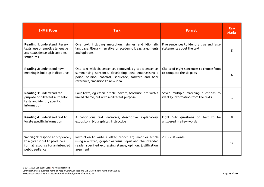| <b>Skill &amp; Focus</b>                                                                                                | <b>Task</b>                                                                                                                                                                                                  | <b>Format</b>                                                               | <b>Raw</b><br><b>Marks</b> |
|-------------------------------------------------------------------------------------------------------------------------|--------------------------------------------------------------------------------------------------------------------------------------------------------------------------------------------------------------|-----------------------------------------------------------------------------|----------------------------|
| Reading 1: understand literary<br>texts, use of emotive language<br>and texts dense with complex<br>structures          | One text including metaphors, similes and idiomatic<br>language, literary narrative or academic ideas, arguments<br>and opinions                                                                             | Five sentences to identify true and false<br>statements about the text      | 5                          |
| Reading 2: understand how<br>meaning is built up in discourse                                                           | One text with six sentences removed, eg topic sentence,<br>summarising sentence, developing idea, emphasising a<br>point, opinion, contrast, sequence, forward and back<br>reference, transition to new idea | Choice of eight sentences to choose from<br>to complete the six gaps        | 6                          |
| Reading 3: understand the<br>purpose of different authentic<br>texts and identify specific<br>information               | Four texts, eg email, article, advert, brochure, etc with a<br>linked theme, but with a different purpose                                                                                                    | Seven multiple matching questions to<br>identify information from the texts |                            |
| Reading 4: understand text to<br>locate specific information                                                            | A continuous text: narrative, descriptive, explanatory,<br>expository, biographical, instructive                                                                                                             | Eight 'wh' questions on text to be<br>answered in a few words               | 8                          |
| Writing 1: respond appropriately<br>to a given input to produce a<br>formal response for an intended<br>public audience | Instruction to write a letter, report, argument or article<br>using a written, graphic or visual input and the intended<br>reader specified expressing stance, opinion, justification,<br>argument           | 200 - 250 words                                                             | 12                         |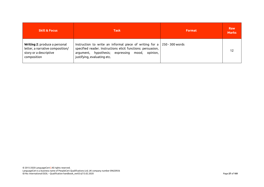| <b>Skill &amp; Focus</b>                                                                                          | <b>Task</b>                                                                                                                                                                                                                          | <b>Format</b> | <b>Raw</b><br><b>Marks</b> |
|-------------------------------------------------------------------------------------------------------------------|--------------------------------------------------------------------------------------------------------------------------------------------------------------------------------------------------------------------------------------|---------------|----------------------------|
| <b>Writing 2: produce a personal</b><br>letter, a narrative composition/<br>story or a descriptive<br>composition | Instruction to write an informal piece of writing for a $\vert$ 250 - 300 words<br>specified reader. Instructions elicit functions: persuasion,<br>argument, hypothesis; expressing mood,<br>opinion,<br>justifying, evaluating etc. |               | 12                         |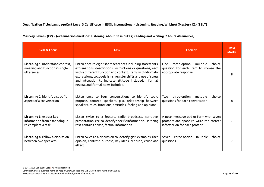# **Qualification Title: LanguageCert Level 3 Certificate in ESOL International (Listening, Reading, Writing) (Mastery C2) (SELT)**

| Mastery Level – (C2) – (examination duration: Listening: about 30 minutes; Reading and Writing: 2 hours 40 minutes) |  |
|---------------------------------------------------------------------------------------------------------------------|--|
|---------------------------------------------------------------------------------------------------------------------|--|

| <b>Skill &amp; Focus</b>                                                         | <b>Task</b>                                                                                                                                                                                                                                                                                                                                                 | <b>Format</b>                                                                                                   | <b>Raw</b><br><b>Marks</b> |
|----------------------------------------------------------------------------------|-------------------------------------------------------------------------------------------------------------------------------------------------------------------------------------------------------------------------------------------------------------------------------------------------------------------------------------------------------------|-----------------------------------------------------------------------------------------------------------------|----------------------------|
| Listening 1: understand context,<br>meaning and function in single<br>utterances | Listen once to eight short sentences including statements,<br>explanations, descriptions, instructions or questions, each<br>with a different function and context. Items with Idiomatic<br>expressions, colloquialisms, register shifts and use of stress<br>and intonation to indicate attitude included. Informal,<br>neutral and formal items included. | three-option<br>multiple<br>choice<br>One<br>question for each item to choose the<br>appropriate response       | 8                          |
| Listening 2: identify a specific<br>aspect of a conversation                     | Listen once to four conversations to identify topic,<br>purpose, context, speakers, gist, relationship between<br>speakers, roles, functions, attitudes, feeling and opinions                                                                                                                                                                               | three-option<br>multiple<br>choice<br>Two<br>questions for each conversation                                    | 8                          |
| Listening 3: extract key<br>information from a monologue<br>to complete a task   | Listen twice to a lecture, radio broadcast, narrative,<br>presentation, etc. to identify specific information. Listening<br>text contains dense, factual information                                                                                                                                                                                        | A note, message pad or form with seven<br>prompts and space to write the correct<br>information for each prompt | 7                          |
| Listening 4: follow a discussion<br>between two speakers                         | Listen twice to a discussion to identify gist, examples, fact,<br>opinion, contrast, purpose, key ideas, attitude, cause and<br>effect                                                                                                                                                                                                                      | three-option<br>multiple<br>Seven<br>choice<br>questions                                                        | 7                          |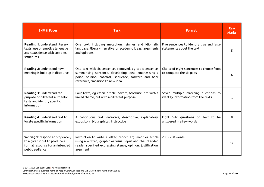| <b>Skill &amp; Focus</b>                                                                                                | <b>Task</b>                                                                                                                                                                                                  | <b>Format</b>                                                               | <b>Raw</b><br><b>Marks</b> |
|-------------------------------------------------------------------------------------------------------------------------|--------------------------------------------------------------------------------------------------------------------------------------------------------------------------------------------------------------|-----------------------------------------------------------------------------|----------------------------|
| Reading 1: understand literary<br>texts, use of emotive language<br>and texts dense with complex<br>structures          | One text including metaphors, similes and idiomatic<br>language, literary narrative or academic ideas, arguments<br>and opinions                                                                             | Five sentences to identify true and false<br>statements about the text      | 5                          |
| Reading 2: understand how<br>meaning is built up in discourse                                                           | One text with six sentences removed, eg topic sentence,<br>summarising sentence, developing idea, emphasising a<br>point, opinion, contrast, sequence, forward and back<br>reference, transition to new idea | Choice of eight sentences to choose from<br>to complete the six gaps        | 6                          |
| Reading 3: understand the<br>purpose of different authentic<br>texts and identify specific<br>information               | Four texts, eg email, article, advert, brochure, etc with a<br>linked theme, but with a different purpose                                                                                                    | Seven multiple matching questions to<br>identify information from the texts |                            |
| Reading 4: understand text to<br>locate specific information                                                            | A continuous text: narrative, descriptive, explanatory,<br>expository, biographical, instructive                                                                                                             | Eight 'wh' questions on text to be<br>answered in a few words               | 8                          |
| Writing 1: respond appropriately<br>to a given input to produce a<br>formal response for an intended<br>public audience | Instruction to write a letter, report, argument or article<br>using a written, graphic or visual input and the intended<br>reader specified expressing stance, opinion, justification,<br>argument           | 200 - 250 words                                                             | 12                         |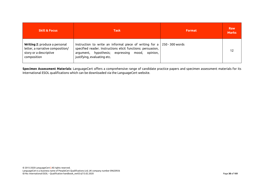| <b>Skill &amp; Focus</b>                                                                                          | <b>Task</b>                                                                                                                                                                                                                          | <b>Format</b> | <b>Raw</b><br><b>Marks</b> |
|-------------------------------------------------------------------------------------------------------------------|--------------------------------------------------------------------------------------------------------------------------------------------------------------------------------------------------------------------------------------|---------------|----------------------------|
| <b>Writing 2: produce a personal</b><br>letter, a narrative composition/<br>story or a descriptive<br>composition | Instruction to write an informal piece of writing for a $\vert$ 250 - 300 words<br>specified reader. Instructions elicit functions: persuasion,<br>argument, hypothesis; expressing mood,<br>opinion,<br>justifying, evaluating etc. |               | 12                         |

**Specimen Assessment Materials**: LanguageCert offers a comprehensive range of candidate practice papers and specimen assessment materials for its International ESOL qualifications which can be downloaded via the LanguageCert website.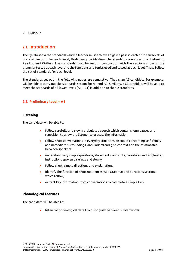<span id="page-31-1"></span><span id="page-31-0"></span>**2.** Syllabus

# **2.1. Introduction**

The Syllabi show the standards which a learner must achieve to gain a pass in each of the six levels of the examination. For each level, Preliminary to Mastery, the standards are shown for Listening, Reading and Writing. The standards must be read in conjunction with the sections showing the grammar tested at each level and the functions and topics used and tested at each level. These follow the set of standards for each level.

The standards set out in the following pages are cumulative. That is, an A2 candidate, for example, will be able to carry out the standards set out for A1 and A2. Similarly, a C2 candidate will be able to meet the standards of all lower levels (A1 – C1) in addition to the C2 standards.

# <span id="page-31-2"></span>**2.2. Preliminary level – A1**

## **Listening**

The candidate will be able to:

- follow carefully and slowly articulated speech which contains long pauses and repetition to allow the listener to process the information
- follow short conversations in everyday situations on topics concerning self, family and immediate surroundings, and understand gist, context and the relationship between speakers
- understand very simple questions, statements, accounts, narratives and single-step instructions spoken carefully and slowly
- follow short, simple directions and explanations
- identify the function of short utterances (see Grammar and Functions sections which follow)
- extract key information from conversations to complete a simple task.

## **Phonological features**

The candidate will be able to:

listen for phonological detail to distinguish between similar words.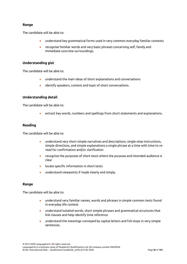## **Range**

The candidate will be able to:

- understand key grammatical forms used in very common everyday familiar contexts
- recognise familiar words and very basic phrases concerning self, family and immediate concrete surroundings.

## **Understanding gist**

The candidate will be able to:

- understand the main ideas of short explanations and conversations
- identify speakers, context and topic of short conversations.

## **Understanding detail**

The candidate will be able to:

• extract key words, numbers and spellings from short statements and explanations.

## **Reading**

The candidate will be able to:

- understand very short simple narratives and descriptions, single-step instructions, simple directions, and simple explanations a single phrase at a time with time to reread for confirmation and/or clarification
- recognise the purposes of short texts where the purpose and intended audience is clear
- locate specific information in short texts
- understand viewpoints if made clearly and simply.

## **Range**

The candidate will be able to:

- understand very familiar names, words and phrases in simple common texts found in everyday life context
- understand isolated words, short simple phrases and grammatical structures that link clauses and help identify time reference
- understand the meanings conveyed by capital letters and full stops in very simple sentences.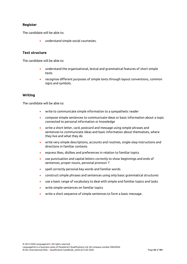## **Register**

The candidate will be able to:

• understand simple social courtesies.

## **Text structure**

The candidate will be able to:

- understand the organisational, lexical and grammatical features of short simple texts
- recognise different purposes of simple texts through layout conventions, common signs and symbols.

#### **Writing**

The candidate will be able to:

- write to communicate simple information to a sympathetic reader
- compose simple sentences to communicate ideas or basic information about a topic connected to personal information or knowledge
- write a short letter, card, postcard and message using simple phrases and sentences to communicate ideas and basic information about themselves, where they live and what they do
- write very simple descriptions, accounts and routines, single-step instructions and directions in familiar contexts
- express likes, dislikes and preferences in relation to familiar topics
- use punctuation and capital letters correctly to show beginnings and ends of sentences, proper nouns, personal pronoun 'I'
- spell correctly personal key words and familiar words
- construct simple phrases and sentences using only basic grammatical structures
- use a basic range of vocabulary to deal with simple and familiar topics and tasks
- write simple sentences on familiar topics
- write a short sequence of simple sentences to form a basic message.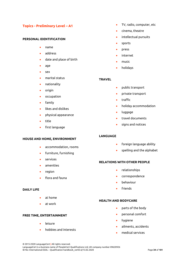## **Topics - Preliminary Level – A1**

#### **PERSONAL IDENTIFICATION**

- name
- address
- date and place of birth
- age
- sex
- marital status
- nationality
- origin
- occupation
- family
- likes and dislikes
- physical appearance
- title
- first language

#### **HOUSE AND HOME, ENVIRONMENT**

- accommodation, rooms
- furniture, furnishing
- services
- amenities
- region
- flora and fauna

#### **DAILY LIFE**

- at home
- at work

## **FREE TIME, ENTERTAINMENT**

- **leisure**
- hobbies and interests
- TV, radio, computer, etc
- cinema, theatre
- intellectual pursuits
- sports
- press
- internet
- music
- holidays

#### **TRAVEL**

- public transport
- private transport
- traffic
- holiday accommodation
- luggage
- travel documents
- signs and notices

## **LANGUAGE**

- foreign language ability
- spelling and the alphabet

#### **RELATIONS WITH OTHER PEOPLE**

- relationships
- correspondence
- behaviour
- friends

#### **HEALTH AND BODYCARE**

- parts of the body
- personal comfort
- hygiene
- ailments, accidents
- medical services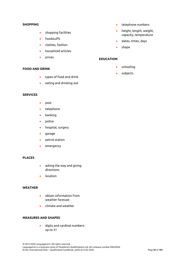#### **SHOPPING**

- shopping facilities
- foodstuffs
- clothes, fashion
- household articles
- prices

#### **FOOD AND DRINK**

- types of food and drink
- eating and drinking out

## **SERVICES**

- post
- telephone
- banking
- police
- hospital, surgery
- garage
- petrol station
- emergency

## **PLACES**

- asking the way and giving directions
- location

#### **WEATHER**

- obtain information from weather forecast
- climate and weather

## **MEASURES AND SHAPES**

• digits and cardinal numbers up to 31

- telephone numbers
- height, length, weight, capacity, temperature
- dates, times, days
- shape

#### **EDUCATION**

- schooling
- subjects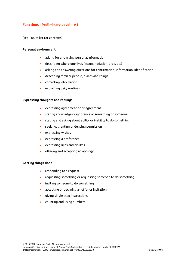# **Functions - Preliminary Level – A1**

(see Topics list for contexts)

#### **Personal environment**

- asking for and giving personal information
- describing where one lives (accommodation, area, etc)
- asking and answering questions for confirmation, information, identification
- describing familiar people, places and things
- correcting information
- explaining daily routines.

### **Expressing thoughts and feelings**

- expressing agreement or disagreement
- stating knowledge or ignorance of something or someone
- stating and asking about ability or inability to do something
- seeking, granting or denying permission
- expressing wishes
- expressing a preference
- expressing likes and dislikes
- offering and accepting an apology.

### **Getting things done**

- responding to a request
- requesting something or requesting someone to do something
- inviting someone to do something
- accepting or declining an offer or invitation
- giving single-step instructions
- counting and using numbers.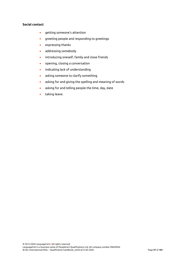### **Social contact**

- getting someone's attention
- greeting people and responding to greetings
- expressing thanks
- addressing somebody
- introducing oneself, family and close friends
- opening, closing a conversation
- indicating lack of understanding
- asking someone to clarify something
- asking for and giving the spelling and meaning of words
- asking for and telling people the time, day, date
- taking leave.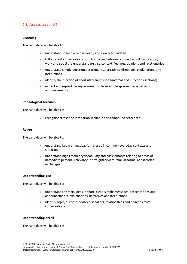# **2.3. Access level – A2**

### **Listening**

The candidate will be able to:

- understand speech which is clearly and slowly articulated
- follow short conversations both formal and informal connected with education, work and social life understanding gist, context, feelings, opinions and relationships
- understand simple questions, statements, narratives, directions, explanations and instructions
- identify the function of short utterances (see Grammar and Functions sections)
- extract and reproduce key information from simple spoken messages and announcements.

#### **Phonological features**

The candidate will be able to:

• recognise stress and intonation in simple and compound sentences

#### **Range**

The candidate will be able to:

- understand key grammatical forms used in common everyday contexts and situations
- understand high frequency vocabulary and basic phrases relating to areas of immediate personal relevance in straightforward familiar formal and informal exchanges.

#### **Understanding gist**

The candidate will be able to:

- understand the main ideas in short, clear, simple messages, presentations and announcements, explanations, narratives and instructions
- identify topic, purpose, context, speakers, relationships and opinions from conversations.

### **Understanding detail**

The candidate will be able to: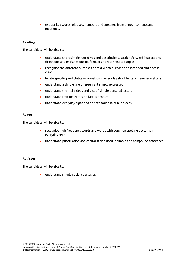• extract key words, phrases, numbers and spellings from announcements and messages.

### **Reading**

The candidate will be able to:

- understand short simple narratives and descriptions, straightforward instructions, directions and explanations on familiar and work related topics
- recognise the different purposes of text when purpose and intended audience is clear
- locate specific predictable information in everyday short texts on familiar matters
- understand a simple line of argument simply expressed
- understand the main ideas and gist of simple personal letters
- understand routine letters on familiar topics
- understand everyday signs and notices found in public places.

### **Range**

The candidate will be able to:

- recognise high frequency words and words with common spelling patterns in everyday texts
- understand punctuation and capitalisation used in simple and compound sentences.

#### **Register**

The candidate will be able to:

• understand simple social courtesies.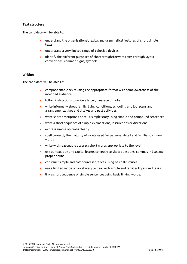### **Text structure**

The candidate will be able to:

- understand the organisational, lexical and grammatical features of short simple texts
- understand a very limited range of cohesive devices
- identify the different purposes of short straightforward texts through layout conventions, common signs, symbols.

### **Writing**

The candidate will be able to:

- compose simple texts using the appropriate format with some awareness of the intended audience
- follow instructions to write a letter, message or note
- write informally about family, living conditions, schooling and job, plans and arrangements, likes and dislikes and past activities
- write short descriptions or tell a simple story using simple and compound sentences
- write a short sequence of simple explanations, instructions or directions
- express simple opinions clearly
- spell correctly the majority of words used for personal detail and familiar common words
- write with reasonable accuracy short words appropriate to the level
- use punctuation and capital letters correctly to show questions, commas in lists and proper nouns
- construct simple and compound sentences using basic structures
- use a limited range of vocabulary to deal with simple and familiar topics and tasks
- link a short sequence of simple sentences using basic linking words.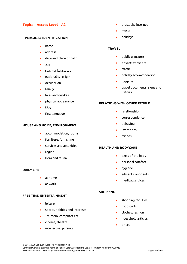# **Topics – Access Level – A2**

#### **PERSONAL IDENTIFICATION**

- name
- address
- date and place of birth
- age
- sex, marital status
- nationality, origin
- occupation
- family
- likes and dislikes
- physical appearance
- title
- first language

#### **HOUSE AND HOME, ENVIRONMENT**

- accommodation, rooms
- furniture, furnishing
- services and amenities
- region
- flora and fauna

### **DAILY LIFE**

- at home
- at work

#### **FREE TIME, ENTERTAINMENT**

- **leisure**
- sports, hobbies and interests
- TV, radio, computer etc
- cinema, theatre
- intellectual pursuits
- press, the internet
- music
- holidays

### **TRAVEL**

- public transport
- private transport
- traffic
- holiday accommodation
- luggage
- travel documents, signs and notices

### **RELATIONS WITH OTHER PEOPLE**

- relationship
- correspondence
- behaviour
- invitations
- **friends**

### **HEALTH AND BODYCARE**

- parts of the body
- personal comfort
- hygiene
- ailments, accidents
- medical services

#### **SHOPPING**

- shopping facilities
- foodstuffs
- clothes, fashion
- household articles
- prices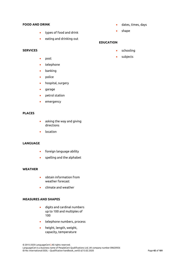#### **FOOD AND DRINK**

- 
- types of food and drink
- eating and drinking out

### **SERVICES**

- post
- telephone
- banking
- police
- hospital, surgery
- garage
- petrol station
- emergency

### **PLACES**

- asking the way and giving directions
- location

# **LANGUAGE**

- foreign language ability
- spelling and the alphabet

#### **WEATHER**

- obtain information from weather forecast
- climate and weather

### **MEASURES AND SHAPES**

- digits and cardinal numbers up to 100 and multiples of 100
- telephone numbers, process
- height, length, weight, capacity, temperature
- dates, times, days
- shape

# **EDUCATION**

- schooling
- subjects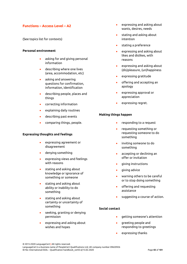# **Functions – Access Level – A2**

(See topics list for contexts)

#### **Personal environment**

- asking for and giving personal information
- describing where one lives (area, accommodation, etc)
- asking and answering questions for confirmation, information, identification
- describing people, places and things
- correcting information
- explaining daily routines
- describing past events
- comparing things, people.

### **Expressing thoughts and feelings**

- expressing agreement or disagreement
- denying something
- expressing views and feelings with reasons
- stating and asking about knowledge or ignorance of something or someone
- stating and asking about ability or inability to do something
- stating and asking about certainty or uncertainty of something
- seeking, granting or denying permission
- expressing and asking about wishes and hopes
- expressing and asking about wants, desires, needs
- stating and asking about intention
- stating a preference
- expressing and asking about likes and dislikes, with reasons
- expressing and asking about (dis)pleasure, (un)happiness
- expressing gratitude
- offering and accepting an apology
- expressing approval or appreciation
- expressing regret.

### **Making things happen**

- responding to a request
- requesting something or requesting someone to do something
- inviting someone to do something
- accepting or declining an offer or invitation
- giving instructions
- giving advice
- warning others to be careful or to stop doing something
- offering and requesting assistance
- suggesting a course of action.

#### **Social contact**

- getting someone's attention
- greeting people and responding to greetings
- expressing thanks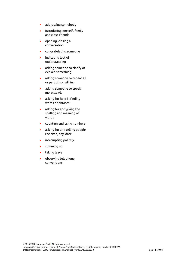- addressing somebody
- introducing oneself, family and close friends
- opening, closing a conversation
- congratulating someone
- indicating lack of understanding
- asking someone to clarify or explain something
- asking someone to repeat all or part of something
- asking someone to speak more slowly
- asking for help in finding words or phrases
- asking for and giving the spelling and meaning of words
- counting and using numbers
- asking for and telling people the time, day, date
- interrupting politely
- summing up
- taking leave
- observing telephone conventions.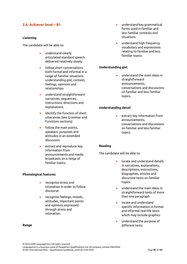# **2.4. Achiever level – B1**

### **Listening**

The candidate will be able to:

- understand clearly articulated standard speech delivered relatively slowly
- follow short conversations both formal and informal in a range of familiar situations understanding gist, context, feelings, opinions and relationships
- understand straightforward narratives, sequences, instructions, directions and explanations
- identify the function of short utterances (see Grammar and Functions sections)
- follow the main points, speakers, purposes and attitudes in an extended discussion
- extract and reproduce key information from announcements and media broadcasts on a range of familiar topics.

### **Phonological features**

- recognise stress and intonation in order to follow discourse
- recognise feelings, moods, attitudes, important points and opinions expressed through stress and intonation.

#### **Range**

- understand key grammatical forms used in familiar and less familiar contexts and situations
- understand high frequency vocabulary and expressions relating to familiar and less familiar topics.

# **Understanding gist**

• understand the main ideas in straightforward announcements, conversations and discussions on familiar and less familiar topics.

### **Understanding detail**

• extract key information from announcements, conversations and discussions on familiar and less familiar topics.

### **Reading**

The candidate will be able to:

- locate and understand details in narratives, explanations, descriptions, instructions, biographies, articles and discursive texts on familiar topics
- understand the main ideas in straightforward texts of more than one paragraph
- locate and understand specific information in formal and informal real-life texts which may include graphics
- understand the purpose of different texts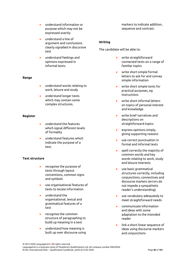- understand information or purpose which may not be expressed overtly
- understand a line of argument and conclusions clearly signalled in discursive text
- understand feelings and opinions expressed in informal texts.

### **Range**

- understand words relating to work, leisure and study
- understand longer texts which may contain some complex structures.

### **Register**

- understand the features which signal different levels of formality
- understand features which indicate the purpose of a text.

### **Text structure**

- recognise the purpose of texts through layout conventions, common signs and symbols
- use organisational features of texts to locate information
- understand the organisational, lexical and grammatical features of a text
- recognise the common structure of paragraphing to build up meaning in a text
- understand how meaning is built up over discourse using

markers to indicate addition, sequence and contrast.

### **Writing**

The candidate will be able to:

- write straightforward connected texts on a range of familiar topics
- write short simple formal letters to ask for and convey simple information
- write short simple texts for practical purposes, eg instructions
- write short informal letters on topics of personal interest and knowledge
- write brief narratives and descriptions on straightforward topics
- express opinions simply, giving supporting reasons
- use correct punctuation in formal and informal texts
- spell correctly the majority of common words and key words relating to work, study and leisure interests
- use basic grammatical structures correctly, including conjunctions, connectives and discourse markers (errors do not impede a sympathetic reader's understanding)
- use vocabulary adequately to meet straightforward needs
- communicate information and ideas with some adaptation to the intended reader
- link a short linear sequence of ideas using discourse markers and conjunctions

LanguageCert is a business name of PeopleCert Qualifications Ltd, UK company number 09620926 ID No: International ESOL – Qualification handbook\_ver03.6/13.02.2020 Page **46** of **101**

<sup>© 2015-2020</sup> LanguageCert **|** All rights reserved.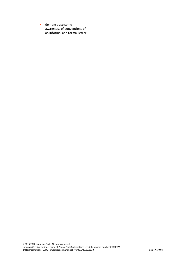• demonstrate some awareness of conventions of an informal and formal letter.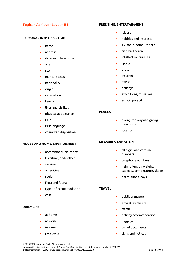# **Topics - Achiever Level – B1**

#### **PERSONAL IDENTIFICATION**

- name
- address
- date and place of birth
- age
- sex
- marital status
- nationality
- origin
- occupation
- family
- likes and dislikes
- physical appearance
- title
- first language
- character, disposition

#### **HOUSE AND HOME, ENVIRONMENT**

- accommodation, rooms
- furniture, bedclothes
- services
- amenities
- region
- flora and fauna
- types of accommodation
- cost

#### **DAILY LIFE**

- at home
- at work
- income
- prospects

#### **FREE TIME, ENTERTAINMENT**

- leisure
- hobbies and interests
- TV, radio, computer etc
- cinema, theatre
- intellectual pursuits
- sports
- press
- internet
- music
- holidays
- exhibitions, museums
- artistic pursuits

### **PLACES**

- asking the way and giving directions
- location

### **MEASURES AND SHAPES**

- all digits and cardinal numbers
- telephone numbers
- height, length, weight, capacity, temperature, shape
- dates, times, days

#### **TRAVEL**

- public transport
- private transport
- traffic
- holiday accommodation
- luggage
- travel documents
- signs and notices

© 2015-2020 LanguageCert **|** All rights reserved.

LanguageCert is a business name of PeopleCert Qualifications Ltd, UK company number 09620926 ID No: International ESOL – Qualification handbook\_ver03.6/13.02.2020 Page **48** of **101**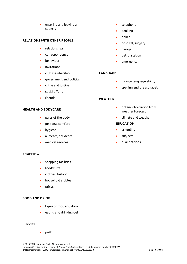• entering and leaving a country

#### **RELATIONS WITH OTHER PEOPLE**

- relationships
- correspondence
- behaviour
- invitations
- club membership
- government and politics
- crime and justice
- social affairs
- **friends**

### **HEALTH AND BODYCARE**

- parts of the body
- personal comfort
- hygiene
- ailments, accidents
- medical services

### **SHOPPING**

- shopping facilities
- foodstuffs
- clothes, fashion
- household articles
- prices

#### **FOOD AND DRINK**

- types of food and drink
- eating and drinking out

### **SERVICES**

post

© 2015-2020 LanguageCert **|** All rights reserved. LanguageCert is a business name of PeopleCert Qualifications Ltd, UK company number 09620926 ID No: International ESOL – Qualification handbook\_ver03.6/13.02.2020 Page **49** of **101**

- telephone
- banking
- police
- hospital, surgery
- garage
- petrol station
- emergency

### **LANGUAGE**

- foreign language ability
- spelling and the alphabet

### **WEATHER**

- obtain information from weather forecast
- climate and weather

### **EDUCATION**

- schooling
- subjects
- qualifications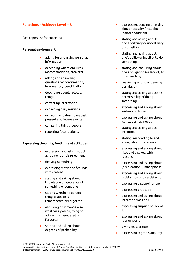# **Functions - Achiever Level – B1**

(see topics list for contexts)

### **Personal environment**

- asking for and giving personal information
- describing where one lives (accommodation, area etc)
- asking and answering questions for confirmation, information, identification
- describing people, places, things
- correcting information
- explaining daily routines
- narrating and describing past, present and future events
- comparing things, people
- reporting facts, actions.

#### **Expressing thoughts, feelings and attitudes**

- expressing and asking about agreement or disagreement
- denying something
- expressing views and feelings with reasons
- stating and asking about knowledge or ignorance of something or someone
- stating whether a person, thing or action is remembered or forgotten
- enquiring of someone else whether a person, thing or action is remembered or forgotten
- stating and asking about degrees of probability
- expressing, denying or asking about necessity (including logical deduction)
- stating and asking about one's certainty or uncertainty of something
- stating and asking about one's ability or inability to do something
- stating and enquiring about one's obligation (or lack of) to do something
- seeking, granting or denying permission
- stating and asking about the permissibility of doing something
- expressing and asking about wishes and hopes
- expressing and asking about wants, desires, needs
- stating and asking about intention
- stating, responding to and asking about preference
- expressing and asking about likes and dislikes, with reasons
- expressing and asking about (dis)pleasure, (un)happiness
- expressing and asking about satisfaction or dissatisfaction
- expressing disappointment
- expressing gratitude
- expressing and asking about interest or lack of it
- expressing surprise or lack of it
- expressing and asking about fear or worry
- giving reassurance
- expressing regret, sympathy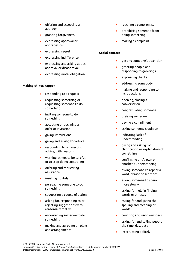- offering and accepting an apology
- granting forgiveness
- expressing approval or appreciation
- expressing regret
- expressing indifference
- expressing and asking about approval or disapproval
- expressing moral obligation.

### **Making things happen**

- responding to a request
- requesting something or requesting someone to do something
- inviting someone to do something
- accepting or declining an offer or invitation
- giving instructions
- giving and asking for advice
- responding to or rejecting advice, with reasons
- warning others to be careful or to stop doing something
- offering and requesting assistance
- insisting politely
- persuading someone to do something
- suggesting a course of action
- asking for, responding to or rejecting suggestions with reason/alternative
- encouraging someone to do something
- making and agreeing on plans and arrangements
- reaching a compromise
- prohibiting someone from doing something
- making a complaint.

# **Social contact**

- getting someone's attention
- greeting people and responding to greetings
- expressing thanks
- addressing somebody
- making and responding to introductions
- opening, closing a conversation
- congratulating someone
- praising someone
- paying a compliment
- asking someone's opinion
- indicating lack of understanding
- giving and asking for clarification or explanation of something
- confirming one's own or another's understanding
- asking someone to repeat a word, phrase or sentence
- asking someone to speak more slowly
- asking for help in finding words or phrases
- asking for and giving the spelling and meaning of words
- counting and using numbers
- asking for and telling people the time, day, date
- interrupting politely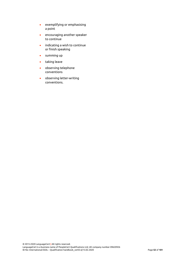- exemplifying or emphasising a point
- encouraging another speaker to continue
- indicating a wish to continue or finish speaking
- summing up
- taking leave
- observing telephone conventions
- observing letter-writing conventions.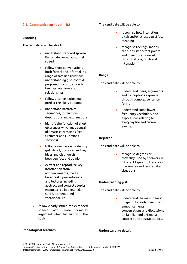# **2.5. Communicator level – B2**

### **Listening**

The candidate will be able to:

- understand standard spoken English delivered at normal speed
- follow short conversations both formal and informal in a range of familiar situations understanding gist, context, purpose, function, attitude, feelings, opinions and relationships
- follow a conversation and predict the likely outcome
- understand narratives, sequences, instructions, descriptions and explanations
- identify the function of short utterances which may contain idiomatic expressions (see Grammar and Functions sections)
- follow a discussion to identify gist, detail, purposes and key ideas and distinguish between fact and opinion
- extract and reproduce key information from announcements, media broadcasts, presentations and lectures including abstract and concrete topics encountered in personal, social, academic and vocational life
- follow clearly structured extended speech and more complex argument when familiar with the topic.

### The candidate will be able to:

- recognise how intonation, pitch and/or stress can affect meaning
- recognise feelings, moods, attitudes, important points and opinions expressed through stress, pitch and intonation.

### **Range**

The candidate will be able to:

- understand ideas, arguments and descriptions expressed through complex sentence forms
- understand some lower frequency vocabulary and expressions relating to everyday life and current events.

#### **Register**

The candidate will be able to:

• recognise degrees of formality used by speakers in different types of utterances in everyday and less familiar situations.

#### **Understanding gist**

The candidate will be able to:

• understand the main ideas in longer but clearly structured announcements, conversations and discussions on familiar and unfamiliar concrete and abstract topics.

### **Understanding detail**

# **Phonological features**

© 2015-2020 LanguageCert **|** All rights reserved. LanguageCert is a business name of PeopleCert Qualifications Ltd, UK company number 09620926 ID No: International ESOL – Qualification handbook\_ver03.6/13.02.2020 Page **53** of **101**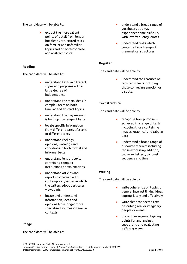The candidate will be able to:

• extract the more salient points of detail from longer but clearly structured texts on familiar and unfamiliar topics and on both concrete and abstract topics.

# **Reading**

The candidate will be able to:

- understand texts in different styles and purposes with a large degree of independence
- understand the main ideas in complex texts on both familiar and abstract topics
- understand the way meaning is built up in a range of texts
- locate specific information from different parts of a text or different texts
- understand feelings, opinions, warnings and conditions in both formal and informal texts
- understand lengthy texts containing complex instructions or explanations
- understand articles and reports concerned with contemporary issues in which the writers adopt particular viewpoints
- locate and understand information, ideas and opinions from longer more specialised sources in familiar contexts.

#### **Range**

The candidate will be able to:

- understand a broad range of vocabulary but may experience some difficulty with low frequency idioms
- understand texts which contain a broad range of grammatical structures.

### **Register**

The candidate will be able to:

• understand the features of register in texts including those conveying emotion or dispute.

### **Text structure**

The candidate will be able to:

- recognise how purpose is achieved in a range of texts including those containing images, graphical and tabular data
- understand a broad range of discourse markers including those expressing addition, cause and effect, contrast, sequence and time.

### **Writing**

The candidate will be able to:

- write coherently on topics of general interest linking ideas appropriately and effectively
- write clear connected text describing real or imaginary people or events
- present an argument giving points for and against, supporting and evaluating different views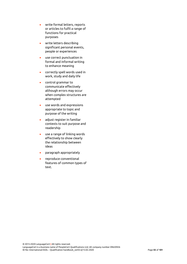- write formal letters, reports or articles to fulfil a range of functions for practical purposes
- write letters describing significant personal events, people or experiences
- use correct punctuation in formal and informal writing to enhance meaning
- correctly spell words used in work, study and daily life
- control grammar to communicate effectively although errors may occur when complex structures are attempted
- use words and expressions appropriate to topic and purpose of the writing
- adjust register in familiar contexts to suit purpose and readership
- use a range of linking words effectively to show clearly the relationship between ideas
- paragraph appropriately
- reproduce conventional features of common types of text.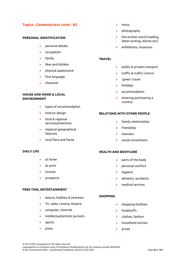# **Topics - Communicator Level - B2**

#### **PERSONAL IDENTIFICATION**

- personal details
- occupation
- family
- likes and dislikes
- physical appearance
- first language
- character

### **HOUSE AND HOME & LOCAL ENVIRONMENT**

- types of accommodation
- interior design
- local & regional services/amenities
- regional geographical features
- local flora and fauna

#### **DAILY LIFE**

- at home
- at work
- income
- prospects

#### **FREE TIME, ENTERTAINMENT**

- leisure, hobbies & interests
- TV, radio, cinema, theatre
- computer, internet
- intellectual/artistic pursuits
- sports
- press
- music
- photography
- the written word (reading, letter-writing, diaries etc)
- exhibitions, museums

### **TRAVEL**

- public & private transport
- traffic & traffic control
- 'green' travel
- holidays
- accommodation
- entering and leaving a country

### **RELATIONS WITH OTHER PEOPLE**

- family relationships
- friendship
- manners
- social conventions

#### **HEALTH AND BODYCARE**

- parts of the body
- personal comfort
- hygiene
- ailments, accidents
- medical services

#### **SHOPPING**

- shopping facilities
- foodstuffs
- clothes, fashion
- household articles
- prices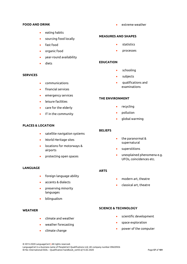#### **FOOD AND DRINK**

- eating habits
- sourcing food locally
- fast food
- organic food
- year-round availability
- diets

### **SERVICES**

- communications
- financial services
- emergency services
- leisure facilities
- care for the elderly
- IT in the community

# **PLACES & LOCATION**

- satellite navigation systems
- World Heritage sites
- locations for motorways & airports
- protecting open spaces

## **LANGUAGE**

- foreign language ability
- accents & dialects
- preserving minority languages
- bilingualism

### **WEATHER**

- climate and weather
- weather forecasting
- climate change

• extreme weather

#### **MEASURES AND SHAPES**

- statistics
- processes

### **EDUCATION**

- schooling
- subjects
- qualifications and examinations

### **THE ENVIRONMENT**

- recycling
- pollution
- global warming

#### **BELIEFS**

- the paranormal & supernatural
- superstitions
- unexplained phenomena e.g. UFOs, coincidences etc.

#### **ARTS**

- modern art, theatre
- classical art, theatre

# **SCIENCE & TECHNOLOGY**

- scientific development
- space exploration
- power of the computer
- 
- 
-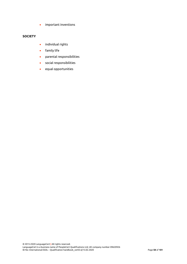• important inventions

# **SOCIETY**

- individual rights
- family life
- parental responsibilities
- social responsibilities
- equal opportunities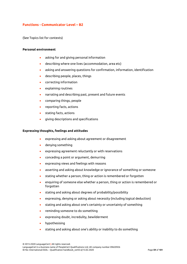# **Functions - Communicator Level – B2**

(See Topics list for contexts)

#### **Personal environment**

- asking for and giving personal information
- describing where one lives (accommodation, area etc)
- asking and answering questions for confirmation, information, identification
- describing people, places, things
- correcting information
- explaining routines
- narrating and describing past, present and future events
- comparing things, people
- reporting facts, actions
- stating facts, actions
- giving descriptions and specifications

#### **Expressing thoughts, feelings and attitudes**

- expressing and asking about agreement or disagreement
- denying something
- expressing agreement reluctantly or with reservations
- conceding a point or argument, demurring
- expressing views and feelings with reasons
- asserting and asking about knowledge or ignorance of something or someone
- stating whether a person, thing or action is remembered or forgotten
- enquiring of someone else whether a person, thing or action is remembered or forgotten
- stating and asking about degrees of probability/possibility
- expressing, denying or asking about necessity (including logical deduction)
- stating and asking about one's certainty or uncertainty of something
- reminding someone to do something
- expressing doubt, incredulity, bewilderment
- hypothesising
- stating and asking about one's ability or inability to do something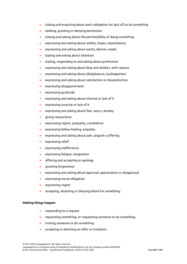- stating and enquiring about one's obligation (or lack of) to do something
- seeking, granting or denying permission
- stating and asking about the permissibility of doing something
- expressing and asking about wishes, hopes, expectations
- expressing and asking about wants, desires, needs
- stating and asking about intention
- stating, responding to and asking about preference
- expressing and asking about likes and dislikes, with reasons
- expressing and asking about (dis)pleasure, (un)happiness
- expressing and asking about satisfaction or dissatisfaction
- expressing disappointment
- expressing gratitude
- expressing and asking about interest or lack of it
- expressing surprise or lack of it
- expressing and asking about fear, worry, anxiety
- giving reassurance
- expressing regret, sympathy, condolence
- expressing fellow-feeling, empathy
- expressing and asking about pain, anguish, suffering
- expressing relief
- expressing indifference
- expressing fatigue, resignation
- offering and accepting an apology
- granting forgiveness
- expressing and asking about approval, appreciation or disapproval
- expressing moral obligation
- expressing regret
- accepting, attaching or denying blame for something

### **Making things happen**

- responding to a request
- requesting something, or requesting someone to do something
- inviting someone to do something
- accepting or declining an offer or invitation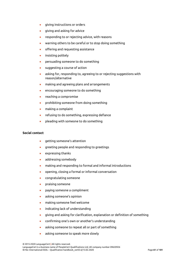- giving instructions or orders
- giving and asking for advice
- responding to or rejecting advice, with reasons
- warning others to be careful or to stop doing something
- offering and requesting assistance
- insisting politely
- persuading someone to do something
- suggesting a course of action
- asking for, responding to, agreeing to or rejecting suggestions with reason/alternative
- making and agreeing plans and arrangements
- encouraging someone to do something
- reaching a compromise
- prohibiting someone from doing something
- making a complaint
- refusing to do something, expressing defiance
- pleading with someone to do something

#### **Social contact**

- getting someone's attention
- greeting people and responding to greetings
- expressing thanks
- addressing somebody
- making and responding to formal and informal introductions
- opening, closing a formal or informal conversation
- congratulating someone
- praising someone
- paying someone a compliment
- asking someone's opinion
- making someone feel welcome
- indicating lack of understanding
- giving and asking for clarification, explanation or definition of something
- confirming one's own or another's understanding
- asking someone to repeat all or part of something
- asking someone to speak more slowly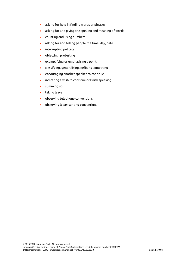- asking for help in finding words or phrases
- asking for and giving the spelling and meaning of words
- counting and using numbers
- asking for and telling people the time, day, date
- interrupting politely
- objecting, protesting
- exemplifying or emphasising a point
- classifying, generalising, defining something
- encouraging another speaker to continue
- indicating a wish to continue or finish speaking
- summing up
- taking leave
- observing telephone conventions
- observing letter-writing conventions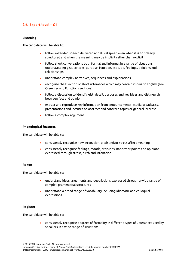# **2.6. Expert level – C1**

### **Listening**

The candidate will be able to:

- follow extended speech delivered at natural speed even when it is not clearly structured and when the meaning may be implicit rather than explicit
- follow short conversations both formal and informal in a range of situations, understanding gist, context, purpose, function, attitude, feelings, opinions and relationships
- understand complex narratives, sequences and explanations
- recognise the function of short utterances which may contain idiomatic English (see Grammar and Functions sections)
- follow a discussion to identify gist, detail, purposes and key ideas and distinguish between fact and opinion
- extract and reproduce key information from announcements, media broadcasts, presentations and lectures on abstract and concrete topics of general interest
- follow a complex argument.

#### **Phonological features**

The candidate will be able to:

- consistently recognise how intonation, pitch and/or stress affect meaning
- consistently recognise feelings, moods, attitudes, important points and opinions expressed through stress, pitch and intonation.

#### **Range**

The candidate will be able to:

- understand ideas, arguments and descriptions expressed through a wide range of complex grammatical structures
- understand a broad range of vocabulary including idiomatic and colloquial expressions.

#### **Register**

The candidate will be able to:

• consistently recognise degrees of formality in different types of utterances used by speakers in a wide range of situations.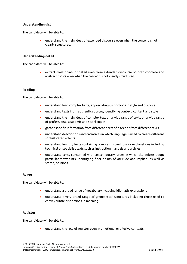### **Understanding gist**

The candidate will be able to:

• understand the main ideas of extended discourse even when the content is not clearly structured.

#### **Understanding detail**

The candidate will be able to:

• extract most points of detail even from extended discourse on both concrete and abstract topics even when the content is not clearly structured.

#### **Reading**

The candidate will be able to:

- understand long complex texts, appreciating distinctions in style and purpose
- understand texts from authentic sources, identifying context, content and style
- understand the main ideas of complex text on a wide range of texts on a wide range of professional, academic and social topics
- gather specific information from different parts of a text or from different texts
- understand descriptions and narratives in which language is used to create different sophisticated effects
- understand lengthy texts containing complex instructions or explanations including technical or specialist texts such as instruction manuals and articles
- understand texts concerned with contemporary issues in which the writers adopt particular viewpoints, identifying finer points of attitude and implied, as well as stated, opinions.

#### **Range**

The candidate will be able to:

- understand a broad range of vocabulary including idiomatic expressions
- understand a very broad range of grammatical structures including those used to convey subtle distinctions in meaning.

#### **Register**

The candidate will be able to:

• understand the role of register even in emotional or allusive contexts.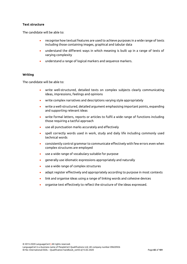### **Text structure**

The candidate will be able to:

- recognise how textual features are used to achieve purposes in a wide range of texts including those containing images, graphical and tabular data
- understand the different ways in which meaning is built up in a range of texts of varying complexity
- understand a range of logical markers and sequence markers.

#### **Writing**

The candidate will be able to:

- write well-structured, detailed texts on complex subjects clearly communicating ideas, impressions, feelings and opinions
- write complex narratives and descriptions varying style appropriately
- write a well-structured, detailed argument emphasising important points, expanding and supporting relevant ideas
- write formal letters, reports or articles to fulfil a wide range of functions including those requiring a tactful approach
- use all punctuation marks accurately and effectively
- spell correctly words used in work, study and daily life including commonly used technical words
- consistently control grammar to communicate effectively with few errors even when complex structures are employed
- use a wide range of vocabulary suitable for purpose
- generally use idiomatic expressions appropriately and naturally
- use a wide range of complex structures
- adapt register effectively and appropriately according to purpose in most contexts
- link and organise ideas using a range of linking words and cohesive devices
- organise text effectively to reflect the structure of the ideas expressed.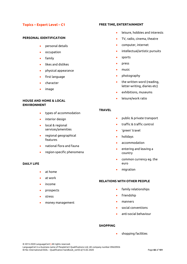# **Topics – Expert Level – C1**

### **PERSONAL IDENTIFICATION**

- personal details
- occupation
- family
- likes and dislikes
- physical appearance
- first language
- character
- image

# **HOUSE AND HOME & LOCAL ENVIRONMENT**

- types of accommodation
- interior design
- local & regional services/amenities
- regional geographical features
- national flora and fauna
- region-specific phenomena

### **DAILY LIFE**

- at home
- at work
- income
- prospects
- stress
- money management

#### **FREE TIME, ENTERTAINMENT**

- leisure, hobbies and interests
- TV, radio, cinema, theatre
- computer, internet
- intellectual/artistic pursuits
- sports
- press
- music
- photography
- the written word (reading, letter-writing, diaries etc)
- exhibitions, museums
- leisure/work ratio

### **TRAVEL**

- public & private transport
- traffic & traffic control
- 'green' travel
- holidays
- accommodation
- entering and leaving a country
- common currency eg. the euro
- migration

# **RELATIONS WITH OTHER PEOPLE**

- family relationships
- friendship
- manners
- social conventions
- anti-social behaviour

### **SHOPPING**

• shopping facilities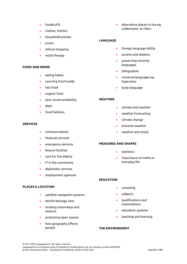- foodstuffs
- clothes, fashion
- household articles
- prices
- ethical shopping
- retail therapy

#### **FOOD AND DRINK**

- eating habits
- sourcing food locally
- fast food
- organic food
- year round availability
- diets
- food fashions

### **SERVICES**

- communications
- financial services
- emergency services
- leisure facilities
- care for the elderly
- IT in the community
- diplomatic services
- employment agencies

### **PLACES & LOCATION**

- satellite navigation systems
- World Heritage sites
- locating motorways and airports
- protecting open spaces
- how geography affects people

• alternative places to live eg. underwater, on Mars

### **LANGUAGE**

- foreign language ability
- accents and dialects
- preserving minority languages
- bilingualism
- universal languages eg. Esperanto
- body language

### **WEATHER**

- climate and weather
- weather forecasting
- climate change
- extreme weather
- weather and mood

### **MEASURES AND SHAPES**

- statistics
- importance of maths in everyday life

### **EDUCATION**

- schooling
- subjects
- qualifications and examinations
- education systems
- teaching and learning

### **THE ENVIRONMENT**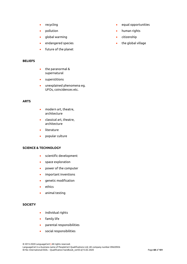- recycling
- pollution
- global warming
- endangered species
- future of the planet

#### **BELIEFS**

- the paranormal & supernatural
- superstitions
- unexplained phenomena eg. UFOs, coincidences etc.

### **ARTS**

- modern art, theatre, architecture
- classical art, theatre, architecture
- literature
- popular culture

#### **SCIENCE & TECHNOLOGY**

- scientific development
- space exploration
- power of the computer
- important inventions
- genetic modification
- ethics
- animal testing

# **SOCIETY**

- individual rights
- family life
- parental responsibilities
- social responsibilities
- equal opportunities
- human rights
- citizenship
- the global village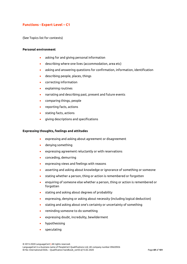# **Functions - Expert Level – C1**

(See Topics list for contexts)

#### **Personal environment**

- asking for and giving personal information
- describing where one lives (accommodation, area etc)
- asking and answering questions for confirmation, information, identification
- describing people, places, things
- correcting information
- explaining routines
- narrating and describing past, present and future events
- comparing things, people
- reporting facts, actions
- stating facts, actions
- giving descriptions and specifications

#### **Expressing thoughts, feelings and attitudes**

- expressing and asking about agreement or disagreement
- denying something
- expressing agreement reluctantly or with reservations
- conceding, demurring
- expressing views and feelings with reasons
- asserting and asking about knowledge or ignorance of something or someone
- stating whether a person, thing or action is remembered or forgotten
- enquiring of someone else whether a person, thing or action is remembered or forgotten
- stating and asking about degrees of probability
- expressing, denying or asking about necessity (including logical deduction)
- stating and asking about one's certainty or uncertainty of something
- reminding someone to do something
- expressing doubt, incredulity, bewilderment
- hypothesising
- speculating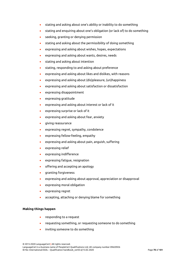- stating and asking about one's ability or inability to do something
- stating and enquiring about one's obligation (or lack of) to do something
- seeking, granting or denying permission
- stating and asking about the permissibility of doing something
- expressing and asking about wishes, hopes, expectations
- expressing and asking about wants, desires, needs
- stating and asking about intention
- stating, responding to and asking about preference
- expressing and asking about likes and dislikes, with reasons
- expressing and asking about (dis)pleasure, (un)happiness
- expressing and asking about satisfaction or dissatisfaction
- expressing disappointment
- expressing gratitude
- expressing and asking about interest or lack of it
- expressing surprise or lack of it
- expressing and asking about fear, anxiety
- giving reassurance
- expressing regret, sympathy, condolence
- expressing fellow-feeling, empathy
- expressing and asking about pain, anguish, suffering
- expressing relief
- expressing indifference
- expressing fatigue, resignation
- offering and accepting an apology
- granting forgiveness
- expressing and asking about approval, appreciation or disapproval
- expressing moral obligation
- expressing regret
- accepting, attaching or denying blame for something

### **Making things happen**

- responding to a request
- requesting something, or requesting someone to do something
- inviting someone to do something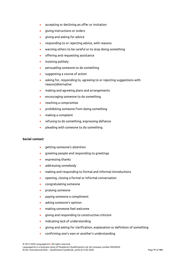- accepting or declining an offer or invitation
- giving instructions or orders
- giving and asking for advice
- responding to or rejecting advice, with reasons
- warning others to be careful or to stop doing something
- offering and requesting assistance
- insisting politely
- persuading someone to do something
- suggesting a course of action
- asking for, responding to, agreeing to or rejecting suggestions with reason/alternative
- making and agreeing plans and arrangements
- encouraging someone to do something
- reaching a compromise
- prohibiting someone from doing something
- making a complaint
- refusing to do something, expressing defiance
- pleading with someone to do something

### **Social contact**

- getting someone's attention
- greeting people and responding to greetings
- expressing thanks
- addressing somebody
- making and responding to formal and informal introductions
- opening, closing a formal or informal conversation
- congratulating someone
- praising someone
- paying someone a compliment
- asking someone's opinion
- making someone feel welcome
- giving and responding to constructive criticism
- indicating lack of understanding
- giving and asking for clarification, explanation or definition of something
- confirming one's own or another's understanding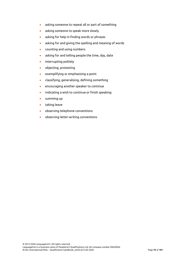- asking someone to repeat all or part of something
- asking someone to speak more slowly
- asking for help in finding words or phrases
- asking for and giving the spelling and meaning of words
- counting and using numbers
- asking for and telling people the time, day, date
- interrupting politely
- objecting, protesting
- exemplifying or emphasising a point
- classifying, generalising, defining something
- encouraging another speaker to continue
- indicating a wish to continue or finish speaking
- summing up
- taking leave
- observing telephone conventions
- observing letter-writing conventions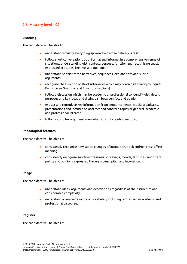# **2.7. Mastery level – C2**

### **Listening**

The candidate will be able to:

- understand virtually everything spoken even when delivery is fast
- follow short conversations both formal and informal in a comprehensive range of situations, understanding gist, context, purpose, function and recognising subtly expressed attitudes, feelings and opinions
- understand sophisticated narratives, sequences, explanations and subtle arguments
- recognise the function of short utterances which may contain idiomatic/colloquial English (see Grammar and Functions sections)
- follow a discussion which may be academic or professional to identify gist, detail, purposes and key ideas and distinguish between fact and opinion
- extract and reproduce key information from announcements, media broadcasts, presentations and lectures on abstract and concrete topics of general, academic and professional interest
- follow a complex argument even when it is not clearly structured.

#### **Phonological features**

The candidate will be able to:

- consistently recognise how subtle changes of intonation, pitch and/or stress affect meaning
- consistently recognise subtle expressions of feelings, moods, attitudes, important points and opinions expressed through stress, pitch and intonation.

#### **Range**

The candidate will be able to:

- understand ideas, arguments and descriptions regardless of their structure and considerable complexity
- understand a very wide range of vocabulary including terms used in academic and professional discourse.

## **Register**

The candidate will be able to: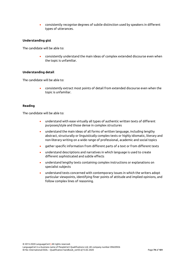• consistently recognise degrees of subtle distinction used by speakers in different types of utterances.

### **Understanding gist**

The candidate will be able to:

• consistently understand the main ideas of complex extended discourse even when the topic is unfamiliar.

### **Understanding detail**

The candidate will be able to:

• consistently extract most points of detail from extended discourse even when the topic is unfamiliar.

#### **Reading**

The candidate will be able to:

- understand with ease virtually all types of authentic written texts of different purposes/style and those dense in complex structures
- understand the main ideas of all forms of written language, including lengthy abstract, structurally or linguistically complex texts or highly idiomatic, literary and non-literary writing on a wide range of professional, academic and social topics
- gather specific information from different parts of a text or from different texts
- understand descriptions and narratives in which language is used to create different sophisticated and subtle effects
- understand lengthy texts containing complex instructions or explanations on specialist subjects
- understand texts concerned with contemporary issues in which the writers adopt particular viewpoints, identifying finer points of attitude and implied opinions, and follow complex lines of reasoning.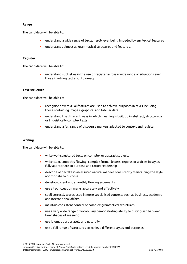### **Range**

The candidate will be able to:

- understand a wide range of texts, hardly ever being impeded by any lexical features
- understands almost all grammatical structures and features.

### **Register**

The candidate will be able to:

• understand subtleties in the use of register across a wide range of situations even those involving tact and diplomacy.

### **Text structure**

The candidate will be able to:

- recognise how textual features are used to achieve purposes in texts including those containing images, graphical and tabular data
- understand the different ways in which meaning is built up in abstract, structurally or linguistically complex texts
- understand a full range of discourse markers adapted to context and register.

#### **Writing**

The candidate will be able to:

- write well-structured texts on complex or abstract subjects
- write clear, smoothly flowing, complex formal letters, reports or articles in styles fully appropriate to purpose and target readership
- describe or narrate in an assured natural manner consistently maintaining the style appropriate to purpose
- develop cogent and smoothly flowing arguments
- use all punctuation marks accurately and effectively
- spell correctly words used in more specialised contexts such as business, academic and international affairs
- maintain consistent control of complex grammatical structures
- use a very wide range of vocabulary demonstrating ability to distinguish between finer shades of meaning
- use idioms appropriately and naturally
- use a full range of structures to achieve different styles and purposes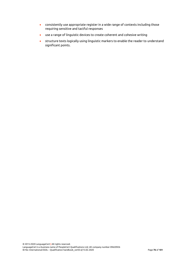- consistently use appropriate register in a wide range of contexts including those requiring sensitive and tactful responses
- use a range of linguistic devices to create coherent and cohesive writing
- structure texts logically using linguistic markers to enable the reader to understand significant points.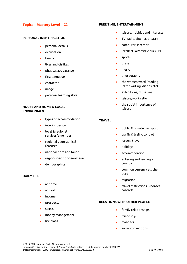# **Topics – Mastery Level – C2**

### **PERSONAL IDENTIFICATION**

- personal details
- occupation
- family
- likes and dislikes
- physical appearance
- first language
- character
- image
- personal learning style

# **HOUSE AND HOME & LOCAL ENVIRONMENT**

- types of accommodation
- interior design
- local & regional services/amenities
- regional geographical features
- national flora and fauna
- region-specific phenomena
- demographics

## **DAILY LIFE**

- at home
- at work
- income
- prospects
- stress
- money management
- life plans

#### **FREE TIME, ENTERTAINMENT**

- leisure, hobbies and interests
- TV, radio, cinema, theatre
- computer, internet
- intellectual/artistic pursuits
- sports
- press
- music
- photography
- the written word (reading, letter-writing, diaries etc)
- exhibitions, museums
- leisure/work ratio
- the social importance of leisure

### **TRAVEL**

- public & private transport
- traffic & traffic control
- 'green' travel
- holidays
- accommodation
- entering and leaving a country
- common currency eg. the euro
- migration
- travel restrictions & border controls

### **RELATIONS WITH OTHER PEOPLE**

- family relationships
- friendship
- manners
- social conventions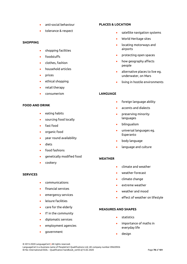- anti-social behaviour
- tolerance & respect

### **SHOPPING**

- shopping facilities
- foodstuffs
- clothes, fashion
- household articles
- prices
- ethical shopping
- retail therapy
- consumerism

# **FOOD AND DRINK**

- eating habits
- sourcing food locally
- fast food
- organic food
- year round availability
- diets
- food fashions
- genetically modified food
- cookery

## **SERVICES**

- communications
- financial services
- emergency services
- leisure facilities
- care for the elderly
- IT in the community
- diplomatic services
- employment agencies
- government

# **PLACES & LOCATION**

- satellite navigation systems
- World Heritage sites
- locating motorways and airports
- protecting open spaces
- how geography affects people
- alternative places to live eg. underwater, on Mars
- living in hostile environments

# **LANGUAGE**

- foreign language ability
- accents and dialects
- preserving minority languages
- bilingualism
- universal languages eg. Esperanto
- body language
- language and culture

## **WEATHER**

- climate and weather
- weather forecast
- climate change
- extreme weather
- weather and mood
- effect of weather on lifestyle

### **MEASURES AND SHAPES**

- statistics
- importance of maths in everyday life
- design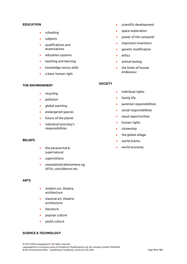#### **EDUCATION**

- schooling
- subjects
- qualifications and examinations
- education systems
- teaching and learning
- knowledge versus skills
- a basic human right

#### **THE ENVIRONMENT**

- recycling
- pollution
- global warming
- endangered species
- future of the planet
- individual's/society's responsibilities

#### **BELIEFS**

- the paranormal & supernatural
- superstitions
- unexplained phenomena eg. UFOs, coincidences etc.

### **ARTS**

- modern art, theatre, architecture
- classical art, theatre, architecture
- literature
- popular culture
- youth culture

# **SCIENCE & TECHNOLOGY**

© 2015-2020 LanguageCert **|** All rights reserved. LanguageCert is a business name of PeopleCert Qualifications Ltd, UK company number 09620926 ID No: International ESOL – Qualification handbook\_ver03.6/13.02.2020 Page **79** of **101**

- scientific development
- space exploration
- power of the computer
- important inventions
- genetic modification
- ethics
- animal testing
- the limits of human endeavour

#### **SOCIETY**

- individual rights
- family life
- parental responsibilities
- social responsibilities
- equal opportunities
- human rights
- citizenship
- the global village
- world events
- world economy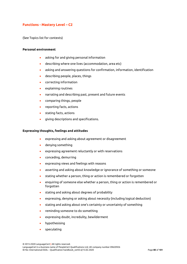# **Functions - Mastery Level – C2**

(See Topics list for contexts)

#### **Personal environment**

- asking for and giving personal information
- describing where one lives (accommodation, area etc)
- asking and answering questions for confirmation, information, identification
- describing people, places, things
- correcting information
- explaining routines
- narrating and describing past, present and future events
- comparing things, people
- reporting facts, actions
- stating facts, actions
- giving descriptions and specifications.

#### **Expressing thoughts, feelings and attitudes**

- expressing and asking about agreement or disagreement
- denying something
- expressing agreement reluctantly or with reservations
- conceding, demurring
- expressing views and feelings with reasons
- asserting and asking about knowledge or ignorance of something or someone
- stating whether a person, thing or action is remembered or forgotten
- enquiring of someone else whether a person, thing or action is remembered or forgotten
- stating and asking about degrees of probability
- expressing, denying or asking about necessity (including logical deduction)
- stating and asking about one's certainty or uncertainty of something
- reminding someone to do something
- expressing doubt, incredulity, bewilderment
- hypothesising
- speculating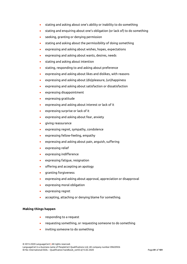- stating and asking about one's ability or inability to do something
- stating and enquiring about one's obligation (or lack of) to do something
- seeking, granting or denying permission
- stating and asking about the permissibility of doing something
- expressing and asking about wishes, hopes, expectations
- expressing and asking about wants, desires, needs
- stating and asking about intention
- stating, responding to and asking about preference
- expressing and asking about likes and dislikes, with reasons
- expressing and asking about (dis)pleasure, (un)happiness
- expressing and asking about satisfaction or dissatisfaction
- expressing disappointment
- expressing gratitude
- expressing and asking about interest or lack of it
- expressing surprise or lack of it
- expressing and asking about fear, anxiety
- giving reassurance
- expressing regret, sympathy, condolence
- expressing fellow-feeling, empathy
- expressing and asking about pain, anguish, suffering
- expressing relief
- expressing indifference
- expressing fatigue, resignation
- offering and accepting an apology
- granting forgiveness
- expressing and asking about approval, appreciation or disapproval
- expressing moral obligation
- expressing regret
- accepting, attaching or denying blame for something.

### **Making things happen**

- responding to a request
- requesting something, or requesting someone to do something
- inviting someone to do something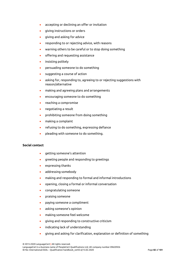- accepting or declining an offer or invitation
- giving instructions or orders
- giving and asking for advice
- responding to or rejecting advice, with reasons
- warning others to be careful or to stop doing something
- offering and requesting assistance
- insisting politely
- persuading someone to do something
- suggesting a course of action
- asking for, responding to, agreeing to or rejecting suggestions with reason/alternative
- making and agreeing plans and arrangements
- encouraging someone to do something
- reaching a compromise
- negotiating a result
- prohibiting someone from doing something
- making a complaint
- refusing to do something, expressing defiance
- pleading with someone to do something.

#### **Social contact**

- getting someone's attention
- greeting people and responding to greetings
- expressing thanks
- addressing somebody
- making and responding to formal and informal introductions
- opening, closing a formal or informal conversation
- congratulating someone
- praising someone
- paying someone a compliment
- asking someone's opinion
- making someone feel welcome
- giving and responding to constructive criticism
- indicating lack of understanding
- giving and asking for clarification, explanation or definition of something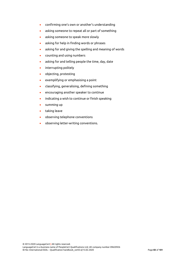- confirming one's own or another's understanding
- asking someone to repeat all or part of something
- asking someone to speak more slowly
- asking for help in finding words or phrases
- asking for and giving the spelling and meaning of words
- counting and using numbers
- asking for and telling people the time, day, date
- interrupting politely
- objecting, protesting
- exemplifying or emphasising a point
- classifying, generalising, defining something
- encouraging another speaker to continue
- indicating a wish to continue or finish speaking
- summing up
- taking leave
- observing telephone conventions
- observing letter-writing conventions.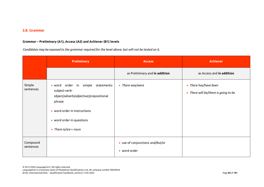# **2.8. Grammar**

# **Grammar – Preliminary (A1), Access (A2) and Achiever (B1) levels**

*Candidates may be exposed to the grammar required for the level above, but will not be tested on it.*

|                       | <b>Preliminary</b>                                                                                                                                                                                      | <b>Access</b>                                    | <b>Achiever</b>                                               |
|-----------------------|---------------------------------------------------------------------------------------------------------------------------------------------------------------------------------------------------------|--------------------------------------------------|---------------------------------------------------------------|
|                       |                                                                                                                                                                                                         | as Preliminary and in addition                   | as Access and in addition                                     |
| Simple<br>sentences   | · word order in simple statements:<br>subject-verb-<br>object/adverb/adjective/prepositional<br>phrase<br>• word order in instructions<br>• word order in questions<br>There is/are + noun<br>$\bullet$ | • There was/were                                 | • There has/have been<br>• There will be/there is going to be |
| Compound<br>sentences |                                                                                                                                                                                                         | • use of conjunctions and/but/or<br>• word order |                                                               |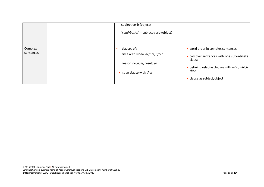|                      | subject-verb-(object)<br>(+and/but/or) + subject-verb-(object)                                              |                                                                                                                                                                               |
|----------------------|-------------------------------------------------------------------------------------------------------------|-------------------------------------------------------------------------------------------------------------------------------------------------------------------------------|
| Complex<br>sentences | clauses of:<br>time with when, before, after<br>reason because, result so<br>• noun clause with <i>that</i> | • word order in complex sentences<br>. complex sentences with one subordinate<br>clause<br>· defining relative clauses with who, which,<br>that<br>• clause as subject/object |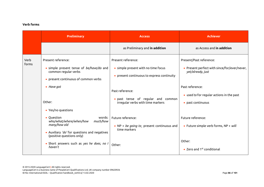# **Verb forms**

|               | <b>Preliminary</b>                                                                                                                                       | <b>Access</b>                                                                                           | <b>Achiever</b>                                                                              |
|---------------|----------------------------------------------------------------------------------------------------------------------------------------------------------|---------------------------------------------------------------------------------------------------------|----------------------------------------------------------------------------------------------|
|               |                                                                                                                                                          | as Preliminary and in addition                                                                          | as Access and in addition                                                                    |
| Verb<br>forms | Present reference:<br>· simple present tense of be/have/do and<br>common regular verbs<br>• present continuous of common verbs                           | Present reference:<br>• simple present with no time focus<br>• present continuous to express continuity | Present/Past reference:<br>• Present perfect with since/for/ever/never,<br>yet/already, just |
|               | $\bullet$ Have got<br>Other:<br>• Yes/no questions                                                                                                       | Past reference:<br>· past tense of regular and common<br>irregular verbs with time markers              | Past reference:<br>• used to for regular actions in the past<br>• past continuous            |
|               | • Question<br>words:<br>who/what/where/when/how<br>much/how<br>many/how old<br>• Auxiliary 'do' for questions and negatives<br>(positive questions only) | Future reference:<br>• NP + be going to, present continuous and<br>time markers                         | Future reference:<br>• Future simple verb forms, $NP + will$                                 |
|               | • Short answers such as yes he does, no I<br>haven't                                                                                                     | Other:                                                                                                  | Other:<br>$\bullet$ Zero and 1 <sup>st</sup> conditional                                     |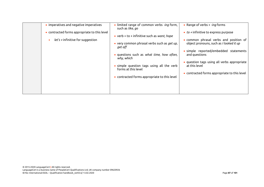| • imperatives and negative imperatives<br>• contracted forms appropriate to this level<br>$let's + infinite for suggestion$<br>$\bullet$ | • limited range of common verbs -ing form,<br>such as like, go<br>• verb + to + infinitive such as want, hope<br>• very common phrasal verbs such as get up,<br>get off<br>• questions such as what time, how often,<br>why, which<br>simple question tags using all the verb<br>forms at this level<br>• contracted forms appropriate to this level | • Range of verbs $+$ -ing forms<br>$\bullet$ to + infinitive to express purpose<br>• common phrasal verbs and position of<br>object pronouns, such as I looked it up<br>• simple reported/embedded statements<br>and questions<br>· question tags using all verbs appropriate<br>at this level<br>• contracted forms appropriate to this level |
|------------------------------------------------------------------------------------------------------------------------------------------|------------------------------------------------------------------------------------------------------------------------------------------------------------------------------------------------------------------------------------------------------------------------------------------------------------------------------------------------------|------------------------------------------------------------------------------------------------------------------------------------------------------------------------------------------------------------------------------------------------------------------------------------------------------------------------------------------------|
|                                                                                                                                          |                                                                                                                                                                                                                                                                                                                                                      |                                                                                                                                                                                                                                                                                                                                                |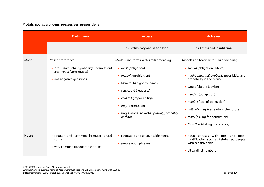# **Modals, nouns, pronouns, possessives, prepositions**

|              | <b>Preliminary</b>                                                                                                         | <b>Access</b>                                                                                                                                                                                                                                                            | <b>Achiever</b>                                                                                                                                                                                                                                                                                                                                                                    |
|--------------|----------------------------------------------------------------------------------------------------------------------------|--------------------------------------------------------------------------------------------------------------------------------------------------------------------------------------------------------------------------------------------------------------------------|------------------------------------------------------------------------------------------------------------------------------------------------------------------------------------------------------------------------------------------------------------------------------------------------------------------------------------------------------------------------------------|
|              |                                                                                                                            | as Preliminary and in addition                                                                                                                                                                                                                                           | as Access and in addition                                                                                                                                                                                                                                                                                                                                                          |
| Modals       | Present reference:<br>• can, can't (ability/inability, permission)<br>and would like (request)<br>• not negative questions | Modals and forms with similar meaning:<br>• must (obligation)<br>• <i>mustn't</i> (prohibition)<br>• have to, had got to (need)<br>• can, could (requests)<br>• couldn't (impossibility)<br>• may (permission)<br>· single modal adverbs: possibly, probably,<br>perhaps | Modals and forms with similar meaning:<br>• should (obligation, advice)<br>• might, may, will, probably (possibility and<br>probability in the future)<br>• would/should (advice)<br>• <i>need to</i> (obligation)<br>• <i>needn't</i> (lack of obligation)<br>• will definitely (certainty in the future)<br>• may I (asking for permission)<br>· I'd rather (stating preference) |
| <b>Nouns</b> | · regular and common irregular plural<br>forms<br>• very common uncountable nouns                                          | • countable and uncountable nouns<br>• simple noun phrases                                                                                                                                                                                                               | • noun phrases with pre- and<br>post-<br>modification such as fair-haired people<br>with sensitive skin<br>• all cardinal numbers                                                                                                                                                                                                                                                  |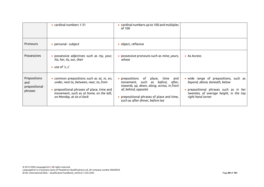|                                                 | • cardinal numbers 1-31                                                                                                                                                                                            | • cardinal numbers up to 100 and multiples<br>of 100                                                                                                                                                                                    |                                                                                                                                                                                  |
|-------------------------------------------------|--------------------------------------------------------------------------------------------------------------------------------------------------------------------------------------------------------------------|-----------------------------------------------------------------------------------------------------------------------------------------------------------------------------------------------------------------------------------------|----------------------------------------------------------------------------------------------------------------------------------------------------------------------------------|
| Pronouns                                        | • personal - subject                                                                                                                                                                                               | • object, reflexive                                                                                                                                                                                                                     |                                                                                                                                                                                  |
| <b>Possessives</b>                              | · possessive adjectives such as my, your,<br>his, her, its, our, their<br>$\bullet$ use of 's, s'                                                                                                                  | • possessive pronouns such as <i>mine</i> , yours,<br>whose                                                                                                                                                                             | • As Access                                                                                                                                                                      |
| Prepositions<br>and<br>prepositional<br>phrases | . common prepositions such as at, in, on,<br>under, next to, between, near, to, from<br>$\bullet$ prepositional phrases of place, time and<br>movement, such as at home, on the left,<br>on Monday, at six o'clock | place, time and<br>• prepositions of<br>movement, such as <i>before, after,</i><br>towards, up, down, along, across, in front<br>of, behind, opposite<br>• prepositional phrases of place and time,<br>such as after dinner, before tea | • wide range of prepositions, such as<br>beyond, above, beneath, below<br>• prepositional phrases such as in her<br>twenties, of average height, in the top<br>right hand corner |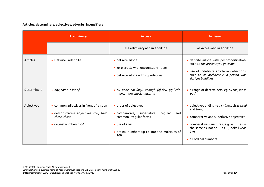# **Articles, determiners, adjectives, adverbs, intensifiers**

|                    | <b>Preliminary</b>                                                                                                         | <b>Access</b>                                                                                                                                                                       | <b>Achiever</b>                                                                                                                                                                                                               |
|--------------------|----------------------------------------------------------------------------------------------------------------------------|-------------------------------------------------------------------------------------------------------------------------------------------------------------------------------------|-------------------------------------------------------------------------------------------------------------------------------------------------------------------------------------------------------------------------------|
|                    |                                                                                                                            | as Preliminary and in addition                                                                                                                                                      | as Access and <b>in addition</b>                                                                                                                                                                                              |
| <b>Articles</b>    | • Definite, indefinite                                                                                                     | • definite article<br>• zero article with uncountable nouns<br>• definite article with superlatives                                                                                 | · definite article with post-modification,<br>such as the present you gave me<br>• use of indefinite article in definitions,<br>such as an architect is a person who<br>designs buildings                                     |
| <b>Determiners</b> | • any, some, a lot of                                                                                                      | · all, none, not (any), enough, (a) few, (a) little,<br>many, more, most, much, no                                                                                                  | • a range of determiners, eg all the, most,<br>both                                                                                                                                                                           |
| Adjectives         | • common adjectives in front of a noun<br>· demonstrative adjectives this, that,<br>these, those<br>• ordinal numbers 1-31 | • order of adjectives<br>$\bullet$ comparative,<br>superlative,<br>regular<br>and<br>common irregular forms<br>• use of than<br>• ordinal numbers up to 100 and multiples of<br>100 | • adjectives ending $-ed + - ing$ such as tired<br>and tiring<br>• comparative and superlative adjectives<br>· comparative structures, e.g. asas, is<br>the same as, not soas, looks like/is<br>like<br>• all ordinal numbers |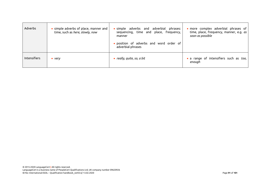| Adverbs      | • simple adverbs of place, manner and<br>time, such as here, slowly, now | simple adverbs and adverbial phrases:<br>sequencing, time and place, frequency,<br>manner<br>· position of adverbs and word order of<br>adverbial phrases | · more complex adverbial phrases of<br>time, place, frequency, manner, e.g. as<br>soon as possible |
|--------------|--------------------------------------------------------------------------|-----------------------------------------------------------------------------------------------------------------------------------------------------------|----------------------------------------------------------------------------------------------------|
| Intensifiers | $\bullet$ very                                                           | • really, quite, so, a bit                                                                                                                                | • a range of intensifiers such as too,<br>enough                                                   |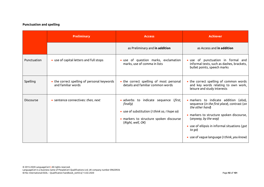# **Punctuation and spelling**

|                  | <b>Preliminary</b>                                                | <b>Access</b>                                                                                                                                                       | <b>Achiever</b>                                                                                                                                                                                                                                                                        |
|------------------|-------------------------------------------------------------------|---------------------------------------------------------------------------------------------------------------------------------------------------------------------|----------------------------------------------------------------------------------------------------------------------------------------------------------------------------------------------------------------------------------------------------------------------------------------|
|                  |                                                                   | as Preliminary and in addition                                                                                                                                      | as Access and <b>in addition</b>                                                                                                                                                                                                                                                       |
| Punctuation      | • use of capital letters and full stops                           | • use of question marks, exclamation<br>marks, use of comma in lists                                                                                                | · use of punctuation in formal and<br>informal texts, such as dashes, brackets,<br>bullet points, speech marks                                                                                                                                                                         |
| Spelling         | • the correct spelling of personal keywords<br>and familiar words | • the correct spelling of most personal<br>details and familiar common words                                                                                        | • the correct spelling of common words<br>and key words relating to own work,<br>leisure and study interests                                                                                                                                                                           |
| <b>Discourse</b> | • sentence connectives: then, next                                | · adverbs to indicate sequence (first,<br>finally)<br>• use of substitution (I think so, I hope so)<br>· markers to structure spoken discourse<br>(Right, well, OK) | · markers to indicate addition (also),<br>sequence (in the first place), contrast (on<br>the other hand)<br>• markers to structure spoken discourse,<br>(anyway, by the way)<br>• use of ellipsis in informal situations (got<br>to go)<br>• use of vague language (I think, you know) |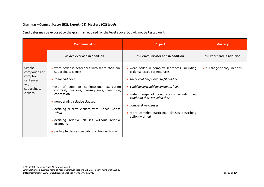# **Grammar – Communicator (B2), Expert (C1), Mastery (C2) levels**

Candidates may be exposed to the grammar required for the level above, but will not be tested on it.

|                                                                                   | <b>Communicator</b>                                                                                                                                                                                                                                                                                                                                                                                                        | <b>Expert</b>                                                                                                                                                                                                                                                                                                                         | <b>Mastery</b>               |
|-----------------------------------------------------------------------------------|----------------------------------------------------------------------------------------------------------------------------------------------------------------------------------------------------------------------------------------------------------------------------------------------------------------------------------------------------------------------------------------------------------------------------|---------------------------------------------------------------------------------------------------------------------------------------------------------------------------------------------------------------------------------------------------------------------------------------------------------------------------------------|------------------------------|
|                                                                                   | as Achiever and <b>in addition</b>                                                                                                                                                                                                                                                                                                                                                                                         | as Communicator and <b>in addition</b>                                                                                                                                                                                                                                                                                                | as Expert and in addition    |
| Simple,<br>compound and<br>complex<br>sentences<br>with<br>subordinate<br>clauses | • word order in sentences with more than one<br>subordinate clause<br>$\bullet$ there had been<br>• use of common conjunctions expressing<br>contrast, purpose, consequence, condition,<br>concession<br>• non-defining relative clauses<br>· defining relative clauses with where, whose,<br>when<br>· defining relative clauses without relative<br>pronouns<br>$\bullet$ participle clauses describing action with -ing | • word order in complex sentences, including<br>order selected for emphasis<br>• there could be/would be/should be<br>• could have/would have/should have<br>· wider range of conjunctions including on<br>condition that, provided that<br>• comparative clauses<br>· more complex participial clauses describing<br>action with -ed | • full range of conjunctions |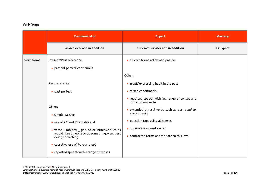# **Verb forms**

|            | Communicator                                                                                                                                                                          | <b>Expert</b>                                                                                                                                                                                                       | <b>Mastery</b> |
|------------|---------------------------------------------------------------------------------------------------------------------------------------------------------------------------------------|---------------------------------------------------------------------------------------------------------------------------------------------------------------------------------------------------------------------|----------------|
|            | as Achiever and in addition                                                                                                                                                           | as Communicator and in addition                                                                                                                                                                                     | as Expert      |
| Verb forms | Present/Past reference:<br>• present perfect continuous                                                                                                                               | • all verb forms active and passive                                                                                                                                                                                 |                |
|            |                                                                                                                                                                                       | Other:                                                                                                                                                                                                              |                |
|            | Past reference:                                                                                                                                                                       | • would expressing habit in the past                                                                                                                                                                                |                |
|            | • past perfect                                                                                                                                                                        | · mixed conditionals                                                                                                                                                                                                |                |
|            | Other:<br>• simple passive<br>• use of $2^{nd}$ and $3^{rd}$ conditional<br>• verbs + (object) $\angle$ gerund or infinitive such as<br>would like someone to do something, + suggest | • reported speech with full range of tenses and<br>introductory verbs<br>· extended phrasal verbs such as get round to,<br>carry on with<br>• question tags using all tenses<br>$\bullet$ imperative + question tag |                |
|            | doing something<br>• causative use of have and get<br>• reported speech with a range of tenses                                                                                        | • contracted forms appropriate to this level                                                                                                                                                                        |                |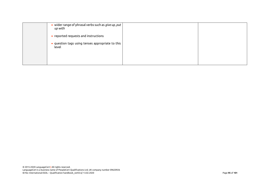| • wider range of phrasal verbs such as give up, put<br>up with |  |
|----------------------------------------------------------------|--|
| • reported requests and instructions                           |  |
| · question tags using tenses appropriate to this<br>level      |  |
|                                                                |  |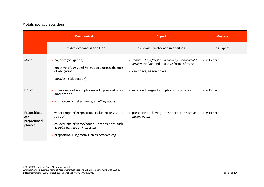# **Modals, nouns, prepositions**

|                                                 | <b>Communicator</b>                                                                                                                                                                                                   | <b>Expert</b>                                                                                                                  | <b>Mastery</b> |
|-------------------------------------------------|-----------------------------------------------------------------------------------------------------------------------------------------------------------------------------------------------------------------------|--------------------------------------------------------------------------------------------------------------------------------|----------------|
|                                                 | as Achiever and <b>in addition</b>                                                                                                                                                                                    | as Communicator and <b>in addition</b>                                                                                         | as Expert      |
| Modals                                          | • <i>ought to</i> (obligation)<br>• negative of need and have to to express absence<br>of obligation<br>• <i>must/can't</i> (deduction)                                                                               | have/might have/may have/could<br>$\bullet$ should<br>have/must have and negative forms of these<br>• can't have, needn't have | • as Expert    |
| <b>Nouns</b>                                    | • wider range of noun phrases with pre- and post-<br>modification<br>• word order of determiners, eg all my books                                                                                                     | • extended range of complex noun phrases                                                                                       | • as Expert    |
| Prepositions<br>and<br>prepositional<br>phrases | · wider range of prepositions including <i>despite</i> , in<br>spite of<br>• collocations of verbs/nouns + prepositions such<br>as point at, have an interest in<br>• preposition $+$ -ing form such as after leaving | • preposition + having + past participle such as<br>having eaten                                                               | • as Expert    |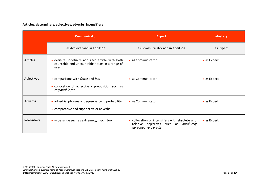# **Articles, determiners, adjectives, adverbs, intensifiers**

|                     | <b>Communicator</b>                                                                                                    | <b>Expert</b>                                                                                                      | <b>Mastery</b> |  |
|---------------------|------------------------------------------------------------------------------------------------------------------------|--------------------------------------------------------------------------------------------------------------------|----------------|--|
|                     | as Achiever and in addition                                                                                            | as Communicator and <b>in addition</b>                                                                             | as Expert      |  |
| Articles            | · definite, indefinite and zero article with both<br>countable and uncountable nouns in a range of<br>uses             | $\bullet$ as Communicator                                                                                          | • as Expert    |  |
| Adjectives          | • comparisons with <i>fewer</i> and <i>less</i><br>• collocation of adjective + preposition such as<br>responsible for | • as Communicator                                                                                                  | • as Expert    |  |
| Adverbs             | · adverbial phrases of degree, extent, probability<br>• comparative and superlative of adverbs                         | • as Communicator                                                                                                  | • as Expert    |  |
| <b>Intensifiers</b> | • wide range such as extremely, much, too                                                                              | • collocation of intensifiers with absolute and<br>relative adjectives such as absolutely<br>gorgeous, very pretty | • as Expert    |  |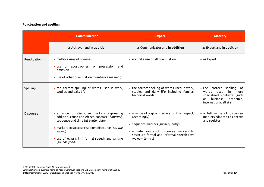# **Punctuation and spelling**

|             | <b>Communicator</b>                                                                                                                                                                                                                                                      | <b>Expert</b>                                                                                                                                                                                                  | <b>Mastery</b>                                                                                                                                 |  |
|-------------|--------------------------------------------------------------------------------------------------------------------------------------------------------------------------------------------------------------------------------------------------------------------------|----------------------------------------------------------------------------------------------------------------------------------------------------------------------------------------------------------------|------------------------------------------------------------------------------------------------------------------------------------------------|--|
|             | as Achiever and <b>in addition</b>                                                                                                                                                                                                                                       | as Communicator and <b>in addition</b>                                                                                                                                                                         | as Expert and <b>in addition</b>                                                                                                               |  |
| Punctuation | • multiple uses of commas<br>· use of apostrophes for possession and<br>omission<br>• use of other punctuation to enhance meaning                                                                                                                                        | • accurate use of all punctuation                                                                                                                                                                              | • as Expert                                                                                                                                    |  |
| Spelling    | • the correct spelling of words used in work,<br>studies and daily life                                                                                                                                                                                                  | • the correct spelling of words used in work,<br>studies and daily life including familiar<br>technical words                                                                                                  | • the correct spelling of<br>words<br>used<br>more<br>in.<br>specialized contexts (such<br>business, academia,<br>as<br>international affairs) |  |
| Discourse   | • a range of discourse markers expressing<br>addition, cause and effect, contrast (however),<br>sequence and time (at a later date)<br>· markers to structure spoken discourse (as I was<br>saying)<br>• use of ellipsis in informal speech and writing<br>(sounds good) | • a range of logical markers (in this respect,<br>accordingly)<br>• sequence markers (subsequently)<br>• a wider range of discourse markers to<br>structure formal and informal speech (can<br>we now turn to) | • a full range of discourse<br>markers adapted to context<br>and register                                                                      |  |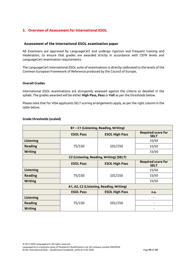# **3. Overview of Assessment for International ESOL**

# **Assessment of the International ESOL examination paper**

All Examiners are approved by LanguageCert and undergo rigorous and frequent training and moderation, to ensure that grades are awarded strictly in accordance with CEFR levels and LanguageCert examination requirements.

The LanguageCert International ESOL suite of examinations is directly calibrated to the levels of the Common European Framework of Reference produced by the [Council of Europe](http://www.coe.int/lang)**.**

# **Overall Grades**

International ESOL examinations are stringently assessed against the criteria as detailed in the syllabi. The grades awarded will be either **High Pass, Pass** or **Fail** as per the thresholds below.

Please note that for VISA applicants SELT scoring arrangements apply, as per the right column in the table below.

# **Grade thresholds (scaled)**

| B1-C1 (Listening, Reading, Writing)      |                                         |                       |                                          |  |
|------------------------------------------|-----------------------------------------|-----------------------|------------------------------------------|--|
|                                          | <b>ESOL Pass</b>                        | <b>ESOL High Pass</b> | <b>Required score for</b><br><b>SELT</b> |  |
| Listening                                |                                         |                       | 33/50                                    |  |
| <b>Reading</b>                           | 75/150                                  | 101/150               | 33/50                                    |  |
| <b>Writing</b>                           |                                         |                       | 33/50                                    |  |
|                                          | C2 (Listening, Reading, Writing) (SELT) |                       |                                          |  |
|                                          | <b>ESOL Pass</b>                        | <b>ESOL High Pass</b> | <b>Required score for</b><br><b>SELT</b> |  |
| Listening                                |                                         |                       | 25/50                                    |  |
| <b>Reading</b>                           | 75/150                                  | 101/150               | 33/50                                    |  |
| <b>Writing</b>                           |                                         |                       | 33/50                                    |  |
| A1, A2, C2 (Listening, Reading, Writing) |                                         |                       |                                          |  |
|                                          | <b>ESOL Pass</b>                        | <b>ESOL High Pass</b> | n.a.                                     |  |
| <b>Listening</b>                         |                                         |                       |                                          |  |
| <b>Reading</b>                           | 75/150                                  | 101/150               |                                          |  |
| <b>Writing</b>                           |                                         |                       |                                          |  |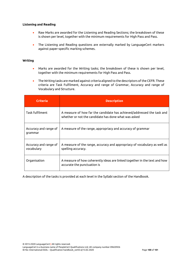# **Listening and Reading**

- Raw Marks are awarded for the Listening and Reading Sections; the breakdown of these is shown per level, together with the minimum requirements for High Pass and Pass.
- The Listening and Reading questions are externally marked by LanguageCert markers against paper-specific marking schemes.

# **Writing**

- Marks are awarded for the Writing tasks; the breakdown of these is shown per level, together with the minimum requirements for High Pass and Pass.
- The Writing tasks are marked against criteria aligned to the descriptors of the CEFR. These criteria are Task Fulfilment, Accuracy and range of Grammar, Accuracy and range of Vocabulary and Structure.

| <b>Criteria</b>                     | <b>Description</b>                                                                                                             |
|-------------------------------------|--------------------------------------------------------------------------------------------------------------------------------|
| <b>Task fulfilment</b>              | A measure of how far the candidate has achieved/addressed the task and<br>whether or not the candidate has done what was asked |
| Accuracy and range of<br>grammar    | A measure of the range, appropriacy and accuracy of grammar                                                                    |
| Accuracy and range of<br>vocabulary | A measure of the range, accuracy and appropriacy of vocabulary as well as<br>spelling accuracy.                                |
| Organisation                        | A measure of how coherently ideas are linked together in the text and how<br>accurate the punctuation is                       |

A description of the tasks is provided at each level in the Syllabi section of the Handbook.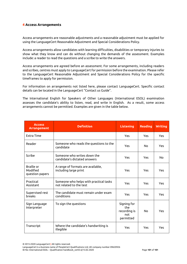# **4 Access Arrangements**

Access arrangements are reasonable adjustments and a reasonable adjustment must be applied for using the LanguageCert Reasonable Adjustment and Special Considerations Policy.

Access arrangements allow candidates with learning difficulties, disabilities or temporary injuries to show what they know and can do without changing the demands of the assessment. Examples include: a reader to read the questions and a scribe to write the answers.

Access arrangements are agreed before an assessment. For some arrangements, including readers and scribes, centres must apply to LanguageCert for permission before the examination. Please refer to the LanguageCert Reasonable Adjustment and Special Considerations Policy for the specific timeframes to apply for permission.

For information on arrangements not listed here, please contact LanguageCert. Specific contact details can be located in the LanguageCert "Contact us Guide".

The International English for Speakers of Other Languages (International ESOL) examination assesses the candidate's ability to listen, read, and write in English. As a result, some access arrangements cannot be permitted. Examples are given in the table below.

| <b>Access</b><br><b>Arrangement</b>       | <b>Definition</b>                                                 | <b>Listening</b>                                       | <b>Reading</b> | <b>Writing</b> |
|-------------------------------------------|-------------------------------------------------------------------|--------------------------------------------------------|----------------|----------------|
| Extra Time                                |                                                                   | Yes                                                    | Yes            | <b>Yes</b>     |
| Reader                                    | Someone who reads the questions to the<br>candidate               | Yes                                                    | No             | Yes            |
| Scribe                                    | Someone who writes down the<br>candidate's dictated answers       | Yes                                                    | Yes            | <b>No</b>      |
| Braille or<br>Modified<br>question papers | A range of formats are available,<br>including large print        | Yes                                                    | Yes            | Yes            |
| Practical<br>Assistant                    | Someone who helps with practical tasks<br>not related to the test | Yes                                                    | Yes            | Yes            |
| Supervised rest<br>breaks                 | The candidate must remain under exam<br>conditions                | Yes                                                    | Yes            | Yes            |
| Sign Language<br>Interpreter              | To sign the questions                                             | Signing for<br>the<br>recording is<br>not<br>permitted | No             | Yes            |
| Transcript                                | Where the candidate's handwriting is<br>illegible                 | Yes                                                    | Yes            | Yes            |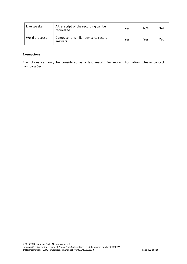| Live speaker   | A transcript of the recording can be<br>requested | Yes | N/A | N/A |
|----------------|---------------------------------------------------|-----|-----|-----|
| Word processor | Computer or similar device to record<br>answers   | Yes | Yes | Yes |

# **Exemptions**

Exemptions can only be considered as a last resort. For more information, please contact LanguageCert.